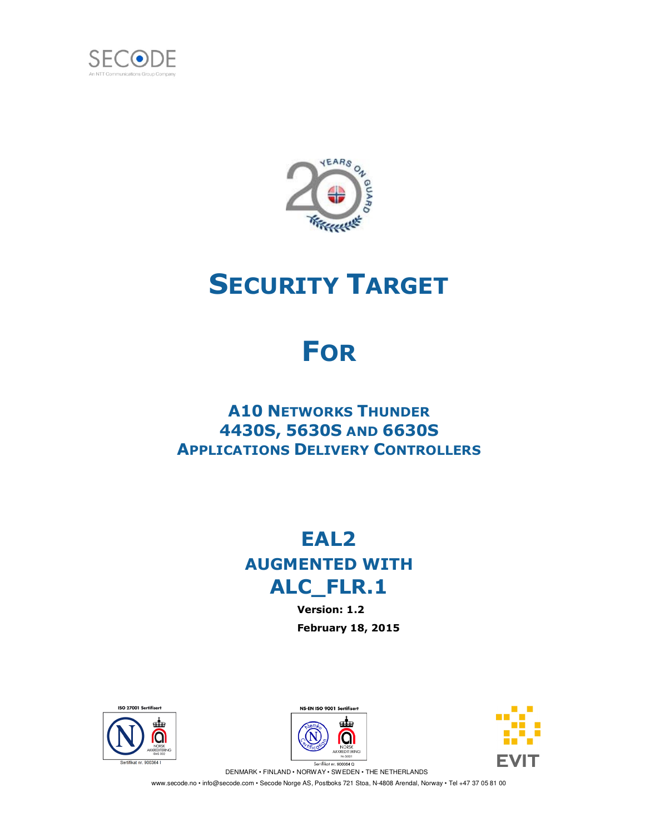



# **SECURITY TARGET**

# **FOR**

## **A10 NETWORKS THUNDER 4430S, 5630S AND 6630S APPLICATIONS DELIVERY CONTROLLERS**

## **EAL2 AUGMENTED WITH ALC\_FLR.1**

**Version: 1.2 February 18, 2015** 



NS-EN ISO 9001 Sertifiser de O



Sertifikat nr. 900364 Q DENMARK • FINLAND • NORWAY • SWEDEN • THE NETHERLANDS

www.secode.no • info@secode.com • Secode Norge AS, Postboks 721 Stoa, N-4808 Arendal, Norway • Tel +47 37 05 81 00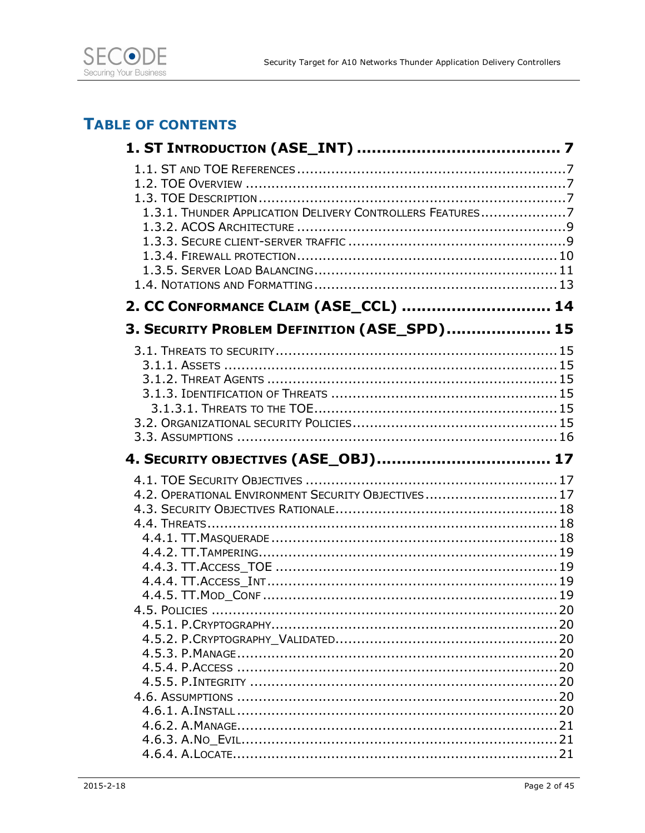

### **TABLE OF CONTENTS**

| 1.3.1. THUNDER APPLICATION DELIVERY CONTROLLERS FEATURES7 |  |
|-----------------------------------------------------------|--|
|                                                           |  |
|                                                           |  |
|                                                           |  |
|                                                           |  |
|                                                           |  |
| 2. CC CONFORMANCE CLAIM (ASE_CCL)  14                     |  |
| 3. SECURITY PROBLEM DEFINITION (ASE_SPD) 15               |  |
|                                                           |  |
|                                                           |  |
|                                                           |  |
|                                                           |  |
|                                                           |  |
|                                                           |  |
|                                                           |  |
|                                                           |  |
| 4. SECURITY OBJECTIVES (ASE_OBJ) 17                       |  |
|                                                           |  |
| 4.2. OPERATIONAL ENVIRONMENT SECURITY OBJECTIVES 17       |  |
|                                                           |  |
|                                                           |  |
|                                                           |  |
|                                                           |  |
|                                                           |  |
|                                                           |  |
|                                                           |  |
|                                                           |  |
|                                                           |  |
|                                                           |  |
|                                                           |  |
|                                                           |  |
|                                                           |  |
|                                                           |  |
|                                                           |  |
|                                                           |  |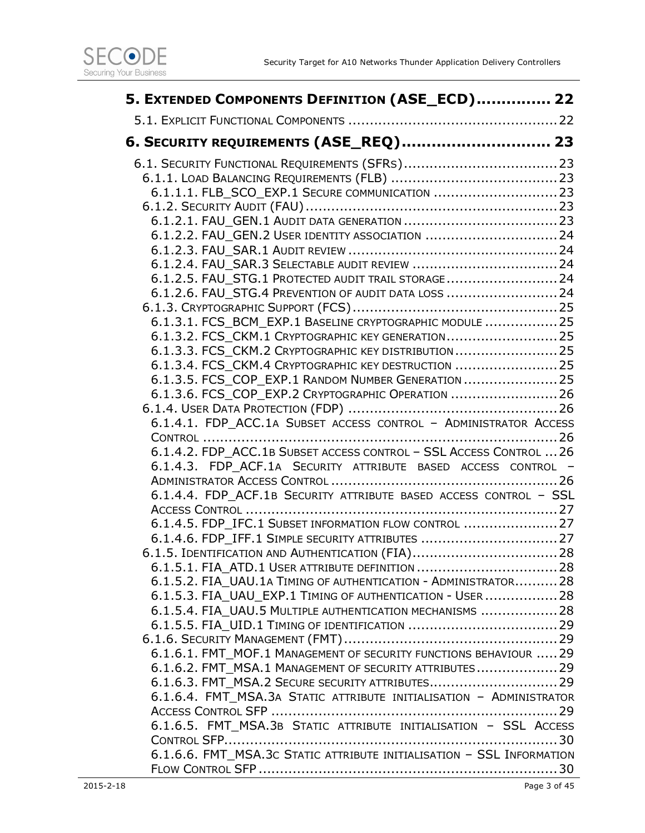

| 5. EXTENDED COMPONENTS DEFINITION (ASE_ECD) 22                        |  |
|-----------------------------------------------------------------------|--|
|                                                                       |  |
| 6. SECURITY REQUIREMENTS (ASE_REQ) 23                                 |  |
|                                                                       |  |
|                                                                       |  |
| 6.1.1.1. FLB_SCO_EXP.1 SECURE COMMUNICATION 23                        |  |
|                                                                       |  |
|                                                                       |  |
| 6.1.2.2. FAU_GEN.2 USER IDENTITY ASSOCIATION 24                       |  |
|                                                                       |  |
|                                                                       |  |
| 6.1.2.5. FAU_STG.1 PROTECTED AUDIT TRAIL STORAGE 24                   |  |
| 6.1.2.6. FAU STG.4 PREVENTION OF AUDIT DATA LOSS 24                   |  |
|                                                                       |  |
| 6.1.3.1. FCS BCM EXP.1 BASELINE CRYPTOGRAPHIC MODULE  25              |  |
| 6.1.3.2. FCS_CKM.1 CRYPTOGRAPHIC KEY GENERATION 25                    |  |
| 6.1.3.3. FCS_CKM.2 CRYPTOGRAPHIC KEY DISTRIBUTION  25                 |  |
| 6.1.3.4. FCS_CKM.4 CRYPTOGRAPHIC KEY DESTRUCTION  25                  |  |
| 6.1.3.5. FCS_COP_EXP.1 RANDOM NUMBER GENERATION  25                   |  |
| 6.1.3.6. FCS COP EXP.2 CRYPTOGRAPHIC OPERATION  26                    |  |
|                                                                       |  |
| 6.1.4.1. FDP_ACC.1A SUBSET ACCESS CONTROL - ADMINISTRATOR ACCESS      |  |
|                                                                       |  |
| 6.1.4.2. FDP_ACC.1B SUBSET ACCESS CONTROL - SSL ACCESS CONTROL  26    |  |
| 6.1.4.3. FDP_ACF.1A SECURITY ATTRIBUTE BASED ACCESS CONTROL -         |  |
|                                                                       |  |
| 6.1.4.4. FDP_ACF.1B SECURITY ATTRIBUTE BASED ACCESS CONTROL - SSL     |  |
|                                                                       |  |
| 6.1.4.5. FDP_IFC.1 SUBSET INFORMATION FLOW CONTROL  27                |  |
| 6.1.4.6. FDP_IFF.1 SIMPLE SECURITY ATTRIBUTES  27                     |  |
| 6.1.5. IDENTIFICATION AND AUTHENTICATION (FIA) 28                     |  |
| 6.1.5.2. FIA_UAU.1A TIMING OF AUTHENTICATION - ADMINISTRATOR28        |  |
| 6.1.5.3. FIA UAU EXP.1 TIMING OF AUTHENTICATION - USER  28            |  |
| 6.1.5.4. FIA UAU.5 MULTIPLE AUTHENTICATION MECHANISMS  28             |  |
|                                                                       |  |
|                                                                       |  |
| 6.1.6.1. FMT_MOF.1 MANAGEMENT OF SECURITY FUNCTIONS BEHAVIOUR  29     |  |
| 6.1.6.2. FMT MSA.1 MANAGEMENT OF SECURITY ATTRIBUTES 29               |  |
| 6.1.6.3. FMT_MSA.2 SECURE SECURITY ATTRIBUTES29                       |  |
| 6.1.6.4. FMT_MSA.3A STATIC ATTRIBUTE INITIALISATION - ADMINISTRATOR   |  |
|                                                                       |  |
| 6.1.6.5. FMT_MSA.3B STATIC ATTRIBUTE INITIALISATION - SSL ACCESS      |  |
|                                                                       |  |
| 6.1.6.6. FMT_MSA.3C STATIC ATTRIBUTE INITIALISATION - SSL INFORMATION |  |
|                                                                       |  |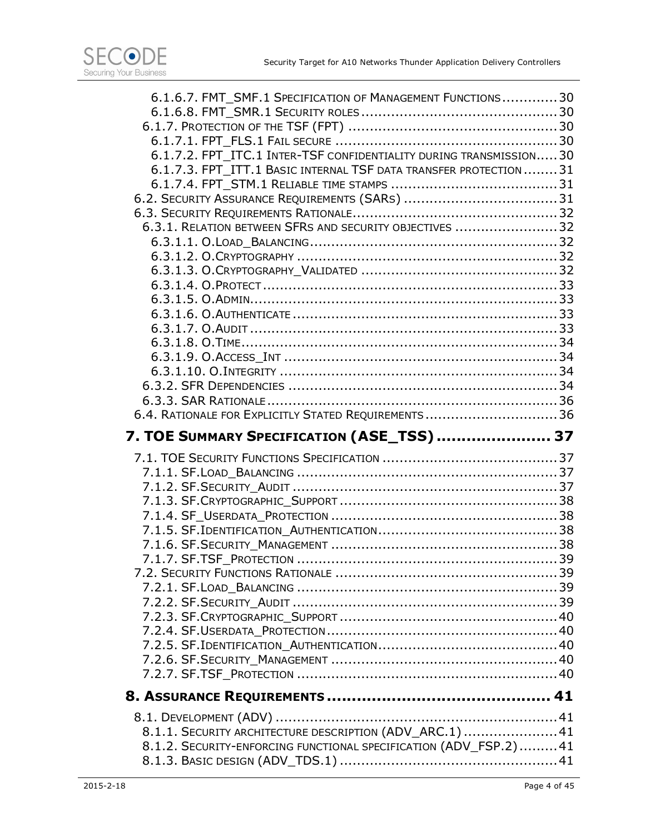| 6.1.6.7. FMT SMF.1 SPECIFICATION OF MANAGEMENT FUNCTIONS30         |  |
|--------------------------------------------------------------------|--|
|                                                                    |  |
|                                                                    |  |
|                                                                    |  |
| 6.1.7.2. FPT_ITC.1 INTER-TSF CONFIDENTIALITY DURING TRANSMISSION30 |  |
| 6.1.7.3. FPT ITT.1 BASIC INTERNAL TSF DATA TRANSFER PROTECTION31   |  |
|                                                                    |  |
|                                                                    |  |
|                                                                    |  |
| 6.3.1. RELATION BETWEEN SFRS AND SECURITY OBJECTIVES 32            |  |
|                                                                    |  |
|                                                                    |  |
|                                                                    |  |
|                                                                    |  |
|                                                                    |  |
|                                                                    |  |
|                                                                    |  |
|                                                                    |  |
|                                                                    |  |
|                                                                    |  |
|                                                                    |  |
| 6.4. RATIONALE FOR EXPLICITLY STATED REQUIREMENTS  36              |  |
|                                                                    |  |
|                                                                    |  |
| 7. TOE SUMMARY SPECIFICATION (ASE_TSS)  37                         |  |
|                                                                    |  |
|                                                                    |  |
|                                                                    |  |
|                                                                    |  |
|                                                                    |  |
|                                                                    |  |
|                                                                    |  |
|                                                                    |  |
|                                                                    |  |
|                                                                    |  |
|                                                                    |  |
|                                                                    |  |
|                                                                    |  |
|                                                                    |  |
|                                                                    |  |
|                                                                    |  |
|                                                                    |  |
|                                                                    |  |
| 8.1.1. SECURITY ARCHITECTURE DESCRIPTION (ADV_ARC.1)  41           |  |
| 8.1.2. SECURITY-ENFORCING FUNCTIONAL SPECIFICATION (ADV_FSP.2)41   |  |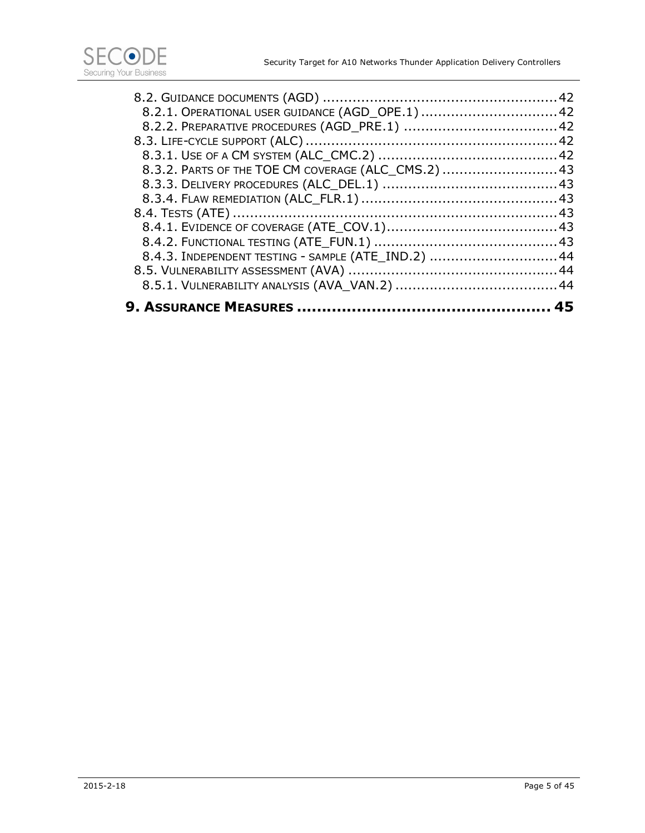| 8.4.3. INDEPENDENT TESTING - SAMPLE (ATE_IND.2) 44  |  |
|-----------------------------------------------------|--|
|                                                     |  |
|                                                     |  |
|                                                     |  |
|                                                     |  |
|                                                     |  |
| 8.3.2. PARTS OF THE TOE CM COVERAGE (ALC_CMS.2)  43 |  |
|                                                     |  |
|                                                     |  |
|                                                     |  |
| 8.2.1. OPERATIONAL USER GUIDANCE (AGD_OPE.1) 42     |  |
|                                                     |  |
|                                                     |  |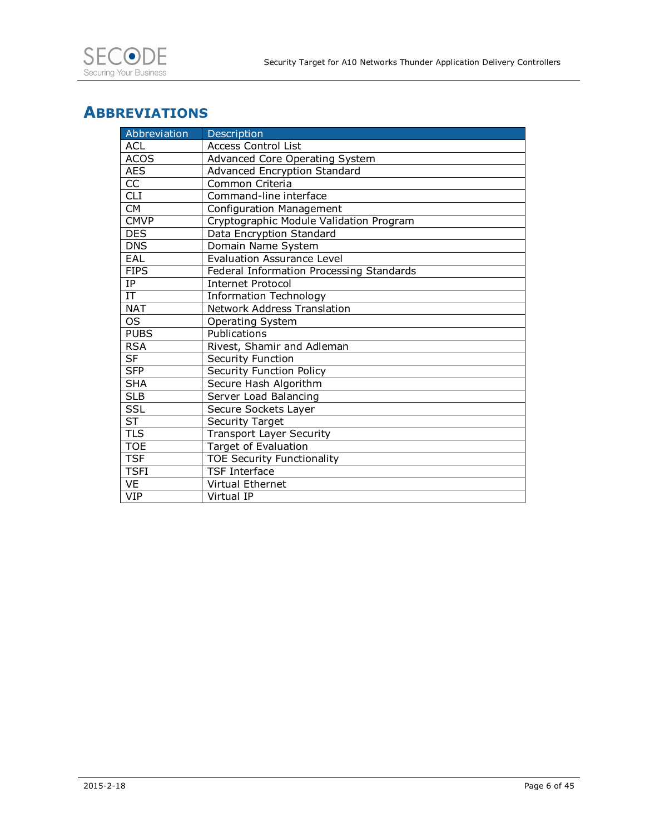### **ABBREVIATIONS**

| Abbreviation             | Description                              |
|--------------------------|------------------------------------------|
| <b>ACL</b>               | <b>Access Control List</b>               |
| <b>ACOS</b>              | Advanced Core Operating System           |
| <b>AES</b>               | Advanced Encryption Standard             |
| CC                       | Common Criteria                          |
| <b>CLI</b>               | Command-line interface                   |
| <b>CM</b>                | Configuration Management                 |
| <b>CMVP</b>              | Cryptographic Module Validation Program  |
| <b>DES</b>               | Data Encryption Standard                 |
| <b>DNS</b>               | Domain Name System                       |
| EAL                      | <b>Evaluation Assurance Level</b>        |
| <b>FIPS</b>              | Federal Information Processing Standards |
| IP.                      | <b>Internet Protocol</b>                 |
| $\overline{\text{IT}}$   | <b>Information Technology</b>            |
| <b>NAT</b>               | <b>Network Address Translation</b>       |
| <b>OS</b>                | Operating System                         |
| <b>PUBS</b>              | Publications                             |
| <b>RSA</b>               | Rivest, Shamir and Adleman               |
| $\overline{\mathsf{SF}}$ | Security Function                        |
| <b>SFP</b>               | Security Function Policy                 |
| <b>SHA</b>               | Secure Hash Algorithm                    |
| <b>SLB</b>               | Server Load Balancing                    |
| SSL                      | Secure Sockets Layer                     |
| <b>ST</b>                | Security Target                          |
| <b>TLS</b>               | <b>Transport Layer Security</b>          |
| <b>TOE</b>               | <b>Target of Evaluation</b>              |
| <b>TSF</b>               | <b>TOE Security Functionality</b>        |
| <b>TSFI</b>              | <b>TSF Interface</b>                     |
| <b>VE</b>                | <b>Virtual Ethernet</b>                  |
| <b>VIP</b>               | Virtual IP                               |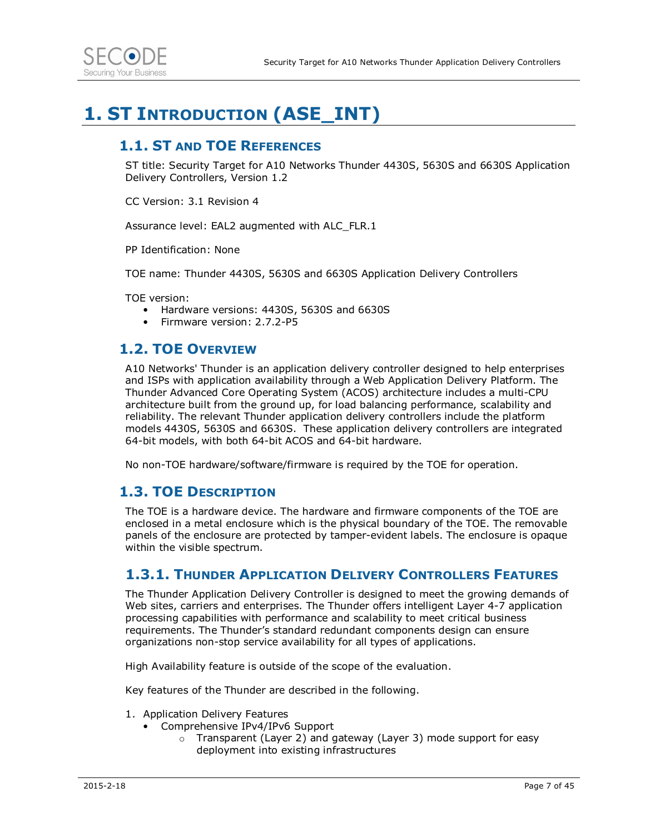

## **1. ST INTRODUCTION (ASE\_INT)**

### **1.1. ST AND TOE REFERENCES**

ST title: Security Target for A10 Networks Thunder 4430S, 5630S and 6630S Application Delivery Controllers, Version 1.2

CC Version: 3.1 Revision 4

Assurance level: EAL2 augmented with ALC\_FLR.1

PP Identification: None

TOE name: Thunder 4430S, 5630S and 6630S Application Delivery Controllers

TOE version:

- Hardware versions: 4430S, 5630S and 6630S
- Firmware version: 2.7.2-P5

### **1.2. TOE OVERVIEW**

A10 Networks' Thunder is an application delivery controller designed to help enterprises and ISPs with application availability through a Web Application Delivery Platform. The Thunder Advanced Core Operating System (ACOS) architecture includes a multi-CPU architecture built from the ground up, for load balancing performance, scalability and reliability. The relevant Thunder application delivery controllers include the platform models 4430S, 5630S and 6630S. These application delivery controllers are integrated 64-bit models, with both 64-bit ACOS and 64-bit hardware.

No non-TOE hardware/software/firmware is required by the TOE for operation.

### **1.3. TOE DESCRIPTION**

The TOE is a hardware device. The hardware and firmware components of the TOE are enclosed in a metal enclosure which is the physical boundary of the TOE. The removable panels of the enclosure are protected by tamper-evident labels. The enclosure is opaque within the visible spectrum.

#### **1.3.1. THUNDER APPLICATION DELIVERY CONTROLLERS FEATURES**

The Thunder Application Delivery Controller is designed to meet the growing demands of Web sites, carriers and enterprises. The Thunder offers intelligent Layer 4-7 application processing capabilities with performance and scalability to meet critical business requirements. The Thunder's standard redundant components design can ensure organizations non-stop service availability for all types of applications.

High Availability feature is outside of the scope of the evaluation.

Key features of the Thunder are described in the following.

- 1. Application Delivery Features
	- Comprehensive IPv4/IPv6 Support
		- o Transparent (Layer 2) and gateway (Layer 3) mode support for easy deployment into existing infrastructures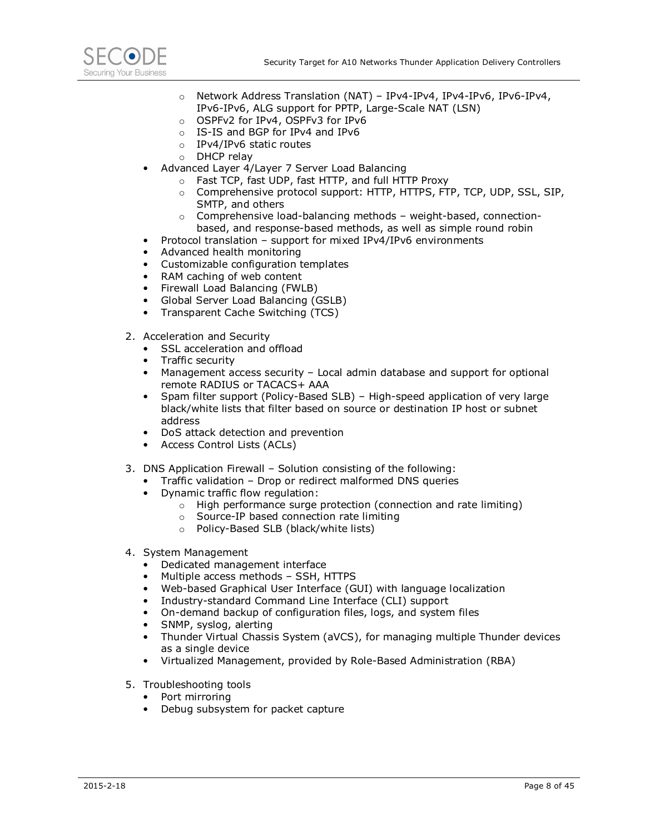

- o Network Address Translation (NAT) IPv4-IPv4, IPv4-IPv6, IPv6-IPv4, IPv6-IPv6, ALG support for PPTP, Large-Scale NAT (LSN)
- o OSPFv2 for IPv4, OSPFv3 for IPv6
- o IS-IS and BGP for IPv4 and IPv6
- o IPv4/IPv6 static routes
- o DHCP relay
- Advanced Layer 4/Layer 7 Server Load Balancing
	- o Fast TCP, fast UDP, fast HTTP, and full HTTP Proxy
	- o Comprehensive protocol support: HTTP, HTTPS, FTP, TCP, UDP, SSL, SIP, SMTP, and others
	- $\circ$  Comprehensive load-balancing methods weight-based, connectionbased, and response-based methods, as well as simple round robin
- Protocol translation support for mixed IPv4/IPv6 environments
- Advanced health monitoring
- Customizable configuration templates
- RAM caching of web content
- Firewall Load Balancing (FWLB)
- Global Server Load Balancing (GSLB)
- Transparent Cache Switching (TCS)
- 2. Acceleration and Security
	- SSL acceleration and offload
	- Traffic security
	- Management access security Local admin database and support for optional remote RADIUS or TACACS+ AAA
	- Spam filter support (Policy-Based SLB) High-speed application of very large black/white lists that filter based on source or destination IP host or subnet address
	- DoS attack detection and prevention
	- Access Control Lists (ACLs)
- 3. DNS Application Firewall Solution consisting of the following:
	- Traffic validation Drop or redirect malformed DNS queries
	- Dynamic traffic flow regulation:
		- o High performance surge protection (connection and rate limiting)
		- o Source-IP based connection rate limiting
		- o Policy-Based SLB (black/white lists)
- 4. System Management
	- Dedicated management interface
	- Multiple access methods SSH, HTTPS
	- Web-based Graphical User Interface (GUI) with language localization
	- Industry-standard Command Line Interface (CLI) support
	- On-demand backup of configuration files, logs, and system files
	- SNMP, syslog, alerting
	- Thunder Virtual Chassis System (aVCS), for managing multiple Thunder devices as a single device
	- Virtualized Management, provided by Role-Based Administration (RBA)
- 5. Troubleshooting tools
	- Port mirroring
	- Debug subsystem for packet capture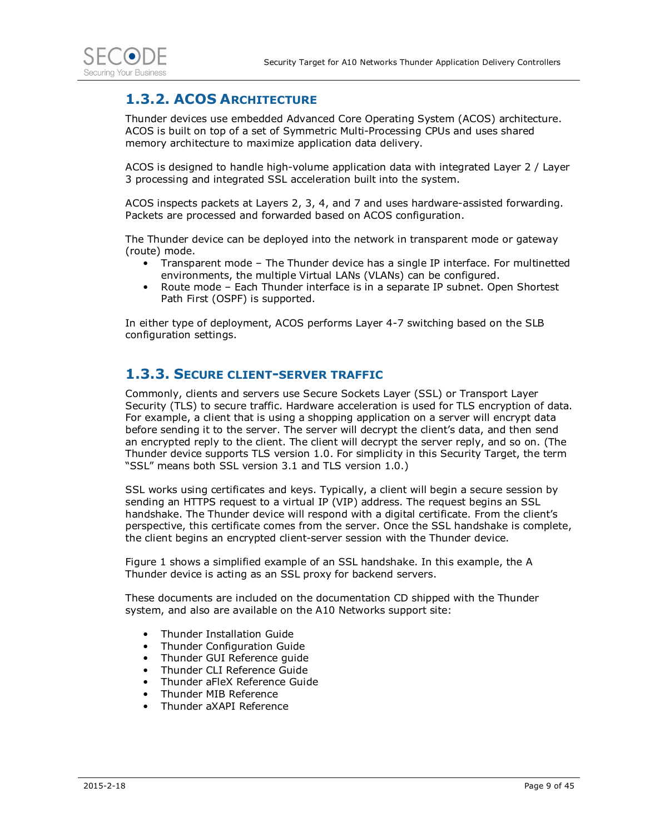

### **1.3.2. ACOS ARCHITECTURE**

Thunder devices use embedded Advanced Core Operating System (ACOS) architecture. ACOS is built on top of a set of Symmetric Multi-Processing CPUs and uses shared memory architecture to maximize application data delivery.

ACOS is designed to handle high-volume application data with integrated Layer 2 / Layer 3 processing and integrated SSL acceleration built into the system.

ACOS inspects packets at Layers 2, 3, 4, and 7 and uses hardware-assisted forwarding. Packets are processed and forwarded based on ACOS configuration.

The Thunder device can be deployed into the network in transparent mode or gateway (route) mode.

- Transparent mode The Thunder device has a single IP interface. For multinetted environments, the multiple Virtual LANs (VLANs) can be configured.
- Route mode Each Thunder interface is in a separate IP subnet. Open Shortest Path First (OSPF) is supported.

In either type of deployment, ACOS performs Layer 4-7 switching based on the SLB configuration settings.

#### **1.3.3. SECURE CLIENT-SERVER TRAFFIC**

Commonly, clients and servers use Secure Sockets Layer (SSL) or Transport Layer Security (TLS) to secure traffic. Hardware acceleration is used for TLS encryption of data. For example, a client that is using a shopping application on a server will encrypt data before sending it to the server. The server will decrypt the client's data, and then send an encrypted reply to the client. The client will decrypt the server reply, and so on. (The Thunder device supports TLS version 1.0. For simplicity in this Security Target, the term "SSL" means both SSL version 3.1 and TLS version 1.0.)

SSL works using certificates and keys. Typically, a client will begin a secure session by sending an HTTPS request to a virtual IP (VIP) address. The request begins an SSL handshake. The Thunder device will respond with a digital certificate. From the client's perspective, this certificate comes from the server. Once the SSL handshake is complete, the client begins an encrypted client-server session with the Thunder device.

Figure 1 shows a simplified example of an SSL handshake. In this example, the A Thunder device is acting as an SSL proxy for backend servers.

These documents are included on the documentation CD shipped with the Thunder system, and also are available on the A10 Networks support site:

- Thunder Installation Guide
- Thunder Configuration Guide
- Thunder GUI Reference guide
- Thunder CLI Reference Guide
- Thunder aFleX Reference Guide
- Thunder MIB Reference
- Thunder aXAPI Reference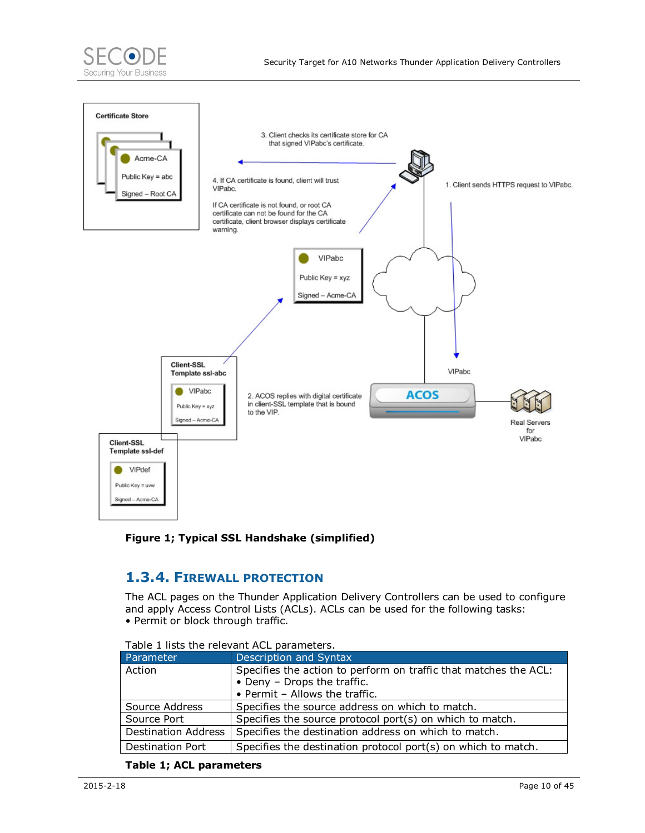





### **1.3.4. FIREWALL PROTECTION**

The ACL pages on the Thunder Application Delivery Controllers can be used to configure and apply Access Control Lists (ACLs). ACLs can be used for the following tasks: • Permit or block through traffic.

| Parameter                  | Description and Syntax                                           |  |  |  |  |  |  |  |  |  |
|----------------------------|------------------------------------------------------------------|--|--|--|--|--|--|--|--|--|
| Action                     | Specifies the action to perform on traffic that matches the ACL: |  |  |  |  |  |  |  |  |  |
|                            | • Deny - Drops the traffic.                                      |  |  |  |  |  |  |  |  |  |
|                            | • Permit - Allows the traffic.                                   |  |  |  |  |  |  |  |  |  |
| Source Address             | Specifies the source address on which to match.                  |  |  |  |  |  |  |  |  |  |
| Source Port                | Specifies the source protocol port(s) on which to match.         |  |  |  |  |  |  |  |  |  |
| <b>Destination Address</b> | Specifies the destination address on which to match.             |  |  |  |  |  |  |  |  |  |
| Destination Port           | Specifies the destination protocol port(s) on which to match.    |  |  |  |  |  |  |  |  |  |

Table 1 lists the relevant ACL parameters.

#### **Table 1; ACL parameters**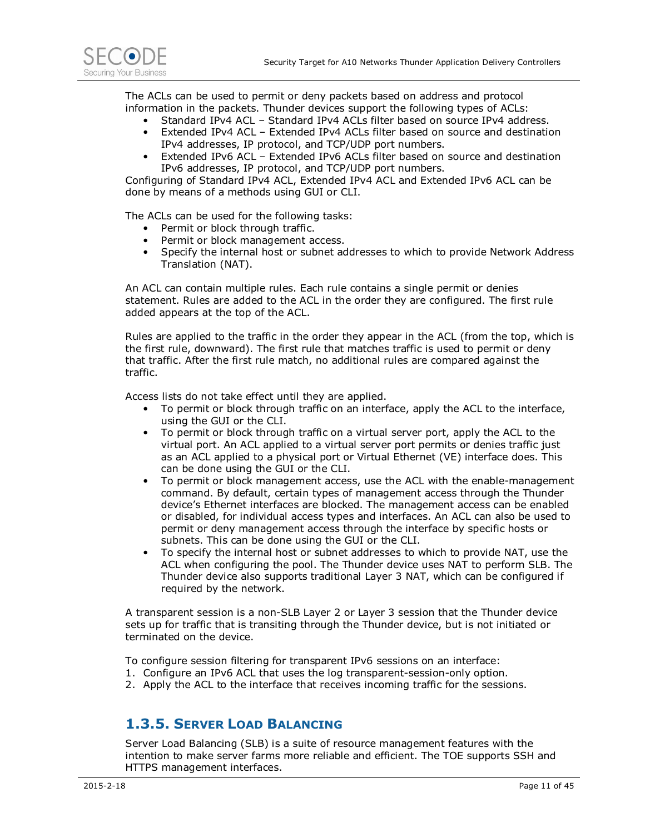

The ACLs can be used to permit or deny packets based on address and protocol information in the packets. Thunder devices support the following types of ACLs:

- Standard IPv4 ACL Standard IPv4 ACLs filter based on source IPv4 address.
- Extended IPv4 ACL Extended IPv4 ACLs filter based on source and destination IPv4 addresses, IP protocol, and TCP/UDP port numbers.
- Extended IPv6 ACL Extended IPv6 ACLs filter based on source and destination IPv6 addresses, IP protocol, and TCP/UDP port numbers.

Configuring of Standard IPv4 ACL, Extended IPv4 ACL and Extended IPv6 ACL can be done by means of a methods using GUI or CLI.

The ACLs can be used for the following tasks:

- Permit or block through traffic.
- Permit or block management access.
- Specify the internal host or subnet addresses to which to provide Network Address Translation (NAT).

An ACL can contain multiple rules. Each rule contains a single permit or denies statement. Rules are added to the ACL in the order they are configured. The first rule added appears at the top of the ACL.

Rules are applied to the traffic in the order they appear in the ACL (from the top, which is the first rule, downward). The first rule that matches traffic is used to permit or deny that traffic. After the first rule match, no additional rules are compared against the traffic.

Access lists do not take effect until they are applied.

- To permit or block through traffic on an interface, apply the ACL to the interface, using the GUI or the CLI.
- To permit or block through traffic on a virtual server port, apply the ACL to the virtual port. An ACL applied to a virtual server port permits or denies traffic just as an ACL applied to a physical port or Virtual Ethernet (VE) interface does. This can be done using the GUI or the CLI.
- To permit or block management access, use the ACL with the enable-management command. By default, certain types of management access through the Thunder device's Ethernet interfaces are blocked. The management access can be enabled or disabled, for individual access types and interfaces. An ACL can also be used to permit or deny management access through the interface by specific hosts or subnets. This can be done using the GUI or the CLI.
- To specify the internal host or subnet addresses to which to provide NAT, use the ACL when configuring the pool. The Thunder device uses NAT to perform SLB. The Thunder device also supports traditional Layer 3 NAT, which can be configured if required by the network.

A transparent session is a non-SLB Layer 2 or Layer 3 session that the Thunder device sets up for traffic that is transiting through the Thunder device, but is not initiated or terminated on the device.

To configure session filtering for transparent IPv6 sessions on an interface:

- 1. Configure an IPv6 ACL that uses the log transparent-session-only option.
- 2. Apply the ACL to the interface that receives incoming traffic for the sessions.

### **1.3.5. SERVER LOAD BALANCING**

Server Load Balancing (SLB) is a suite of resource management features with the intention to make server farms more reliable and efficient. The TOE supports SSH and HTTPS management interfaces.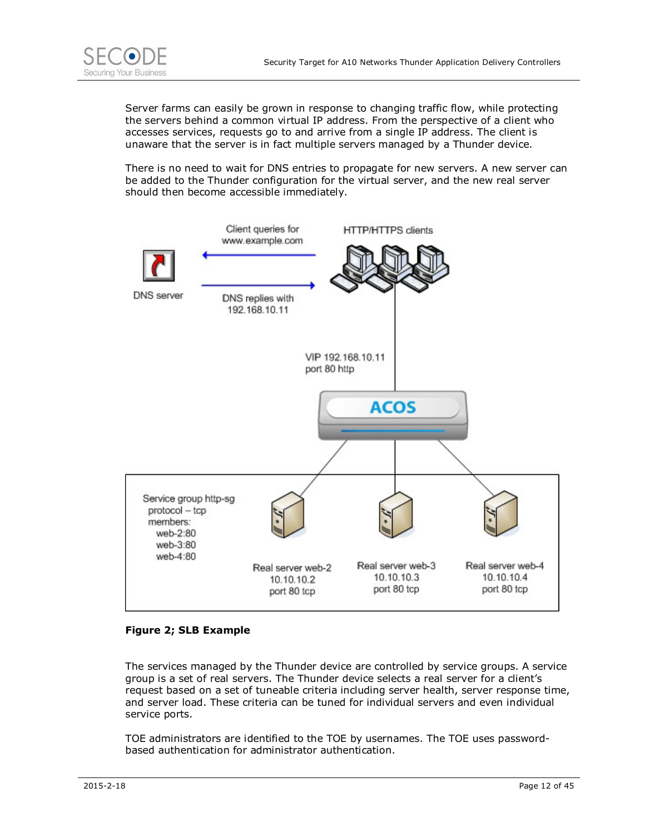

Server farms can easily be grown in response to changing traffic flow, while protecting the servers behind a common virtual IP address. From the perspective of a client who accesses services, requests go to and arrive from a single IP address. The client is unaware that the server is in fact multiple servers managed by a Thunder device.

There is no need to wait for DNS entries to propagate for new servers. A new server can be added to the Thunder configuration for the virtual server, and the new real server should then become accessible immediately.



#### **Figure 2; SLB Example**

The services managed by the Thunder device are controlled by service groups. A service group is a set of real servers. The Thunder device selects a real server for a client's request based on a set of tuneable criteria including server health, server response time, and server load. These criteria can be tuned for individual servers and even individual service ports.

TOE administrators are identified to the TOE by usernames. The TOE uses passwordbased authentication for administrator authentication.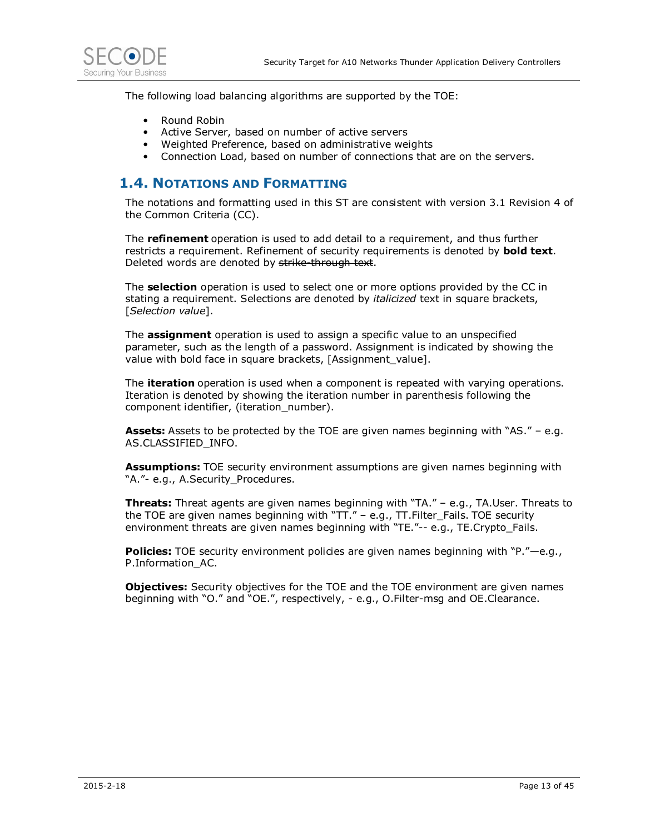

The following load balancing algorithms are supported by the TOE:

- Round Robin
- Active Server, based on number of active servers
- Weighted Preference, based on administrative weights
- Connection Load, based on number of connections that are on the servers.

#### **1.4. NOTATIONS AND FORMATTING**

The notations and formatting used in this ST are consistent with version 3.1 Revision 4 of the Common Criteria (CC).

The **refinement** operation is used to add detail to a requirement, and thus further restricts a requirement. Refinement of security requirements is denoted by **bold text**. Deleted words are denoted by strike through text.

The **selection** operation is used to select one or more options provided by the CC in stating a requirement. Selections are denoted by *italicized* text in square brackets, [*Selection value*].

The **assignment** operation is used to assign a specific value to an unspecified parameter, such as the length of a password. Assignment is indicated by showing the value with bold face in square brackets, [Assignment\_value].

The **iteration** operation is used when a component is repeated with varying operations. Iteration is denoted by showing the iteration number in parenthesis following the component identifier, (iteration\_number).

**Assets:** Assets to be protected by the TOE are given names beginning with "AS." – e.g. AS.CLASSIFIED\_INFO.

**Assumptions:** TOE security environment assumptions are given names beginning with "A."- e.g., A.Security Procedures.

**Threats:** Threat agents are given names beginning with "TA." – e.g., TA.User. Threats to the TOE are given names beginning with "TT." – e.g., TT.Filter\_Fails. TOE security environment threats are given names beginning with "TE."-- e.g., TE.Crypto Fails.

**Policies:** TOE security environment policies are given names beginning with "P."—e.g., P.Information\_AC.

**Objectives:** Security objectives for the TOE and the TOE environment are given names beginning with "O." and "OE.", respectively, - e.g., O.Filter-msg and OE.Clearance.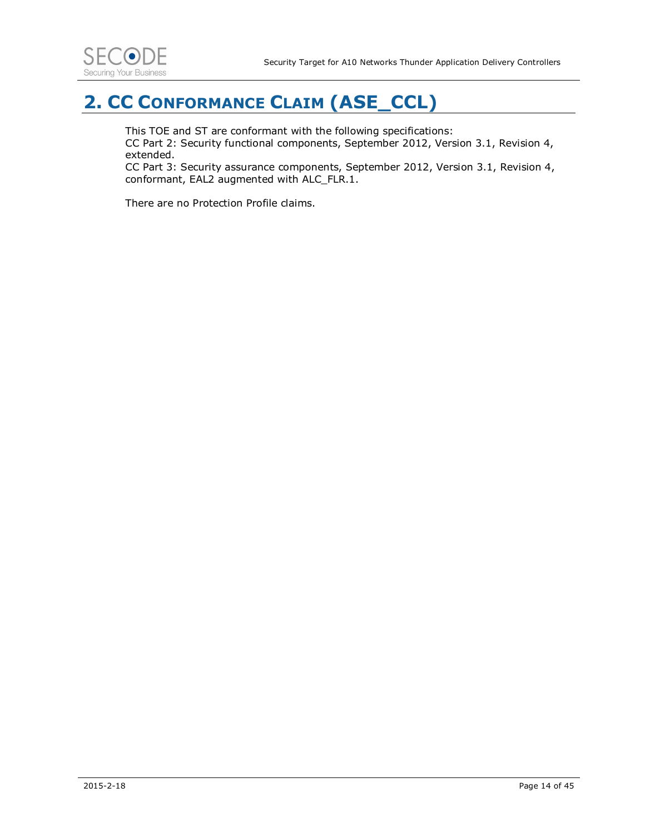

## **2. CC CONFORMANCE CLAIM (ASE\_CCL)**

This TOE and ST are conformant with the following specifications:

CC Part 2: Security functional components, September 2012, Version 3.1, Revision 4, extended.

CC Part 3: Security assurance components, September 2012, Version 3.1, Revision 4, conformant, EAL2 augmented with ALC\_FLR.1.

There are no Protection Profile claims.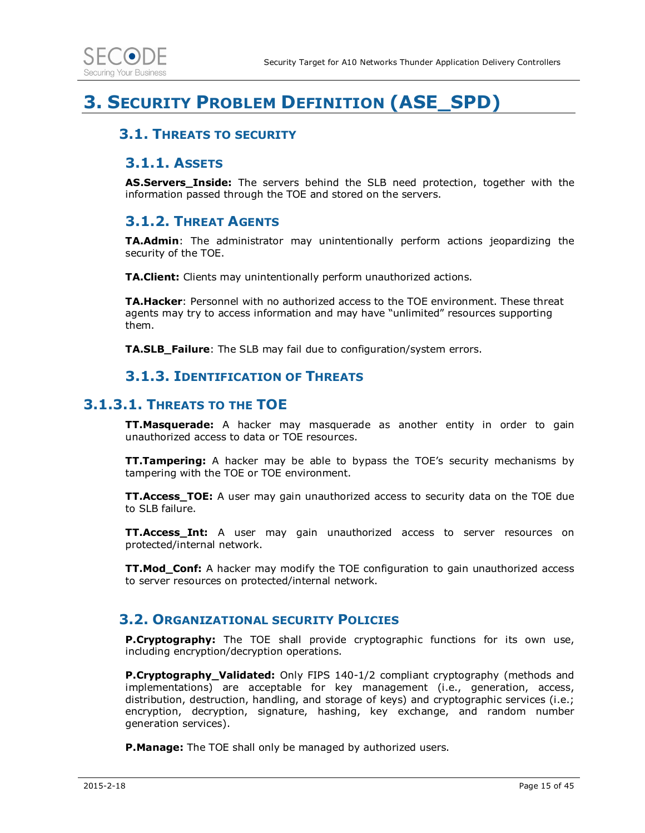

## **3. SECURITY PROBLEM DEFINITION (ASE\_SPD)**

#### **3.1. THREATS TO SECURITY**

#### **3.1.1. ASSETS**

**AS.Servers\_Inside:** The servers behind the SLB need protection, together with the information passed through the TOE and stored on the servers.

#### **3.1.2. THREAT AGENTS**

**TA.Admin**: The administrator may unintentionally perform actions jeopardizing the security of the TOE.

**TA.Client:** Clients may unintentionally perform unauthorized actions.

**TA.Hacker**: Personnel with no authorized access to the TOE environment. These threat agents may try to access information and may have "unlimited" resources supporting them.

**TA.SLB\_Failure**: The SLB may fail due to configuration/system errors.

#### **3.1.3. IDENTIFICATION OF THREATS**

#### **3.1.3.1. THREATS TO THE TOE**

**TT.Masquerade:** A hacker may masquerade as another entity in order to gain unauthorized access to data or TOE resources.

**TT.Tampering:** A hacker may be able to bypass the TOE's security mechanisms by tampering with the TOE or TOE environment.

**TT.Access\_TOE:** A user may gain unauthorized access to security data on the TOE due to SLB failure.

**TT.Access\_Int:** A user may gain unauthorized access to server resources on protected/internal network.

**TT.Mod\_Conf:** A hacker may modify the TOE configuration to gain unauthorized access to server resources on protected/internal network.

#### **3.2. ORGANIZATIONAL SECURITY POLICIES**

**P.Cryptography:** The TOE shall provide cryptographic functions for its own use, including encryption/decryption operations.

**P.Cryptography\_Validated:** Only FIPS 140-1/2 compliant cryptography (methods and implementations) are acceptable for key management (i.e., generation, access, distribution, destruction, handling, and storage of keys) and cryptographic services (i.e.; encryption, decryption, signature, hashing, key exchange, and random number generation services).

**P.Manage:** The TOE shall only be managed by authorized users.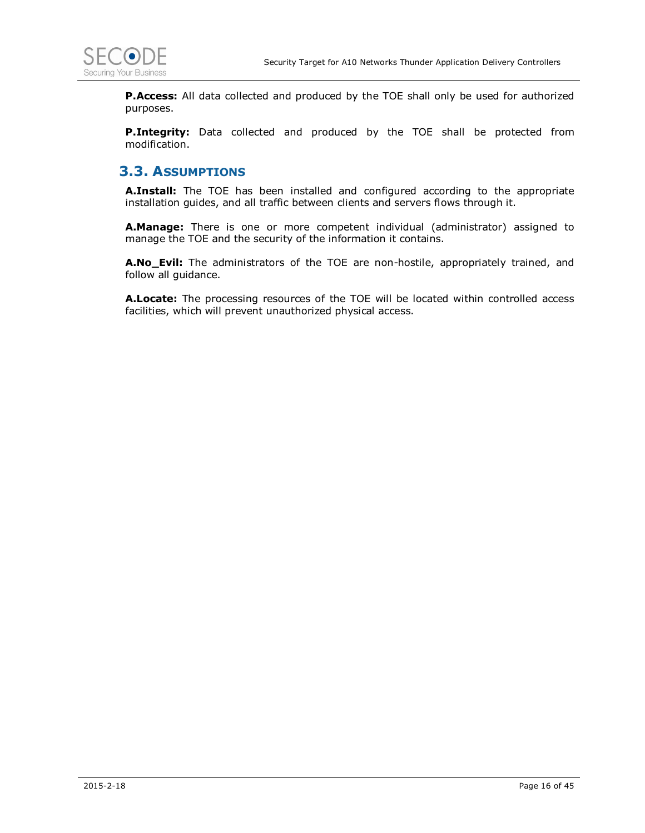

**P.Access:** All data collected and produced by the TOE shall only be used for authorized purposes.

**P.Integrity:** Data collected and produced by the TOE shall be protected from modification.

#### **3.3. ASSUMPTIONS**

**A.Install:** The TOE has been installed and configured according to the appropriate installation guides, and all traffic between clients and servers flows through it.

**A.Manage:** There is one or more competent individual (administrator) assigned to manage the TOE and the security of the information it contains.

**A.No\_Evil:** The administrators of the TOE are non-hostile, appropriately trained, and follow all guidance.

**A.Locate:** The processing resources of the TOE will be located within controlled access facilities, which will prevent unauthorized physical access.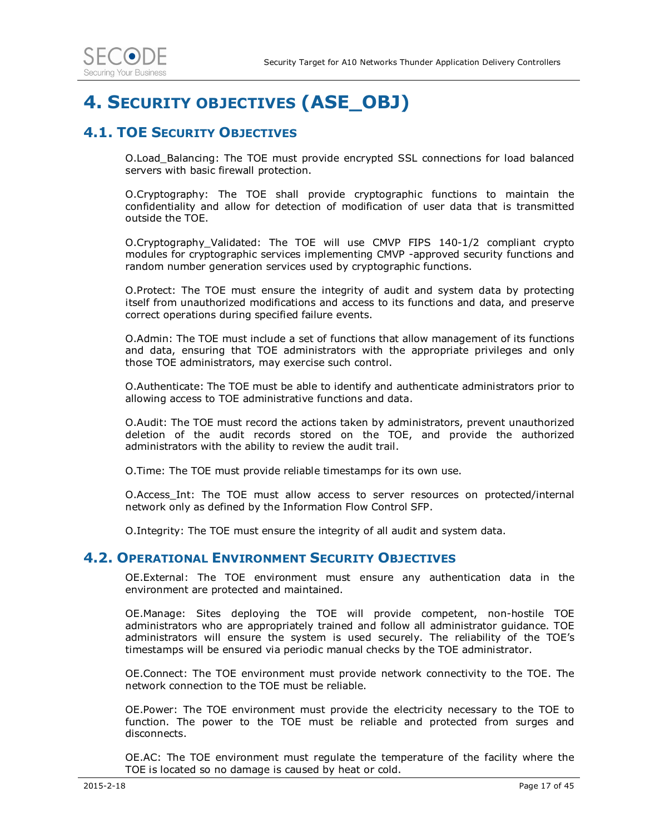## **4. SECURITY OBJECTIVES (ASE\_OBJ)**

### **4.1. TOE SECURITY OBJECTIVES**

O.Load\_Balancing: The TOE must provide encrypted SSL connections for load balanced servers with basic firewall protection.

O.Cryptography: The TOE shall provide cryptographic functions to maintain the confidentiality and allow for detection of modification of user data that is transmitted outside the TOE.

O.Cryptography\_Validated: The TOE will use CMVP FIPS 140-1/2 compliant crypto modules for cryptographic services implementing CMVP -approved security functions and random number generation services used by cryptographic functions.

O.Protect: The TOE must ensure the integrity of audit and system data by protecting itself from unauthorized modifications and access to its functions and data, and preserve correct operations during specified failure events.

O.Admin: The TOE must include a set of functions that allow management of its functions and data, ensuring that TOE administrators with the appropriate privileges and only those TOE administrators, may exercise such control.

O.Authenticate: The TOE must be able to identify and authenticate administrators prior to allowing access to TOE administrative functions and data.

O.Audit: The TOE must record the actions taken by administrators, prevent unauthorized deletion of the audit records stored on the TOE, and provide the authorized administrators with the ability to review the audit trail.

O.Time: The TOE must provide reliable timestamps for its own use.

O.Access\_Int: The TOE must allow access to server resources on protected/internal network only as defined by the Information Flow Control SFP.

O.Integrity: The TOE must ensure the integrity of all audit and system data.

#### **4.2. OPERATIONAL ENVIRONMENT SECURITY OBJECTIVES**

OE.External: The TOE environment must ensure any authentication data in the environment are protected and maintained.

OE.Manage: Sites deploying the TOE will provide competent, non-hostile TOE administrators who are appropriately trained and follow all administrator guidance. TOE administrators will ensure the system is used securely. The reliability of the TOE's timestamps will be ensured via periodic manual checks by the TOE administrator.

OE.Connect: The TOE environment must provide network connectivity to the TOE. The network connection to the TOE must be reliable.

OE.Power: The TOE environment must provide the electricity necessary to the TOE to function. The power to the TOE must be reliable and protected from surges and disconnects.

OE.AC: The TOE environment must regulate the temperature of the facility where the TOE is located so no damage is caused by heat or cold.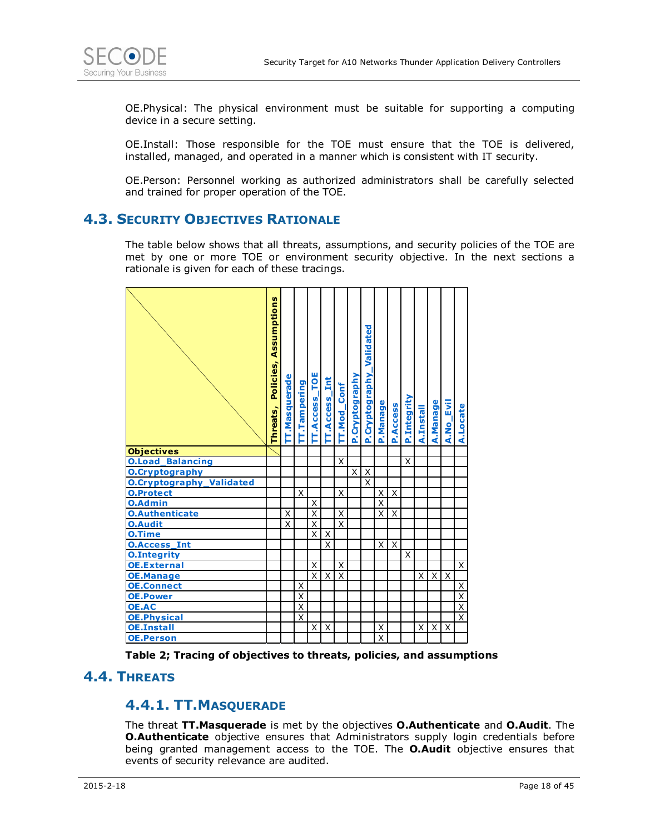

OE.Physical: The physical environment must be suitable for supporting a computing device in a secure setting.

OE.Install: Those responsible for the TOE must ensure that the TOE is delivered, installed, managed, and operated in a manner which is consistent with IT security.

OE.Person: Personnel working as authorized administrators shall be carefully selected and trained for proper operation of the TOE.

#### **4.3. SECURITY OBJECTIVES RATIONALE**

The table below shows that all threats, assumptions, and security policies of the TOE are met by one or more TOE or environment security objective. In the next sections a rationale is given for each of these tracings.



**Table 2; Tracing of objectives to threats, policies, and assumptions** 

#### **4.4. THREATS**

#### **4.4.1. TT.MASQUERADE**

The threat **TT.Masquerade** is met by the objectives **O.Authenticate** and **O.Audit**. The **O.Authenticate** objective ensures that Administrators supply login credentials before being granted management access to the TOE. The **O.Audit** objective ensures that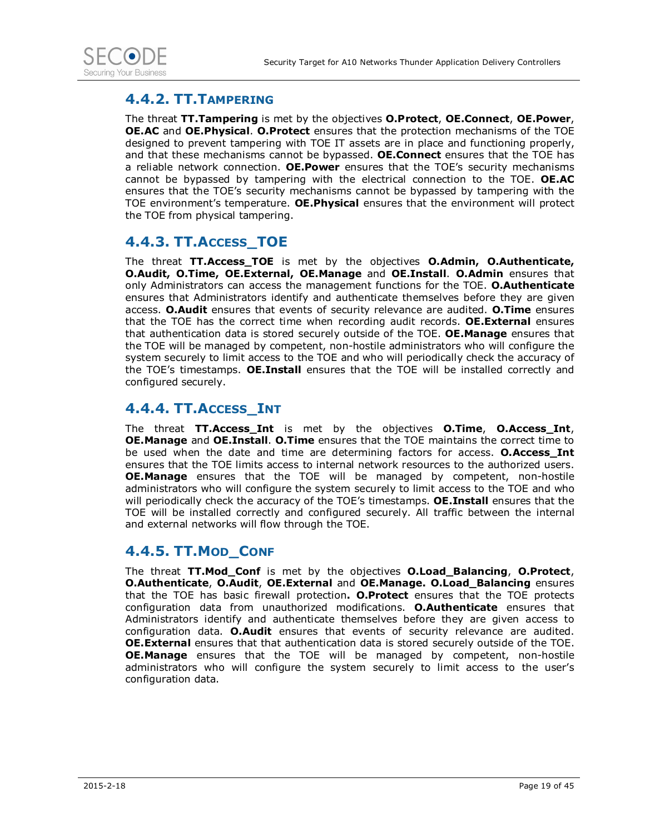

### **4.4.2. TT.TAMPERING**

The threat **TT.Tampering** is met by the objectives **O.Protect**, **OE.Connect**, **OE.Power**, **OE.AC** and **OE.Physical**. **O.Protect** ensures that the protection mechanisms of the TOE designed to prevent tampering with TOE IT assets are in place and functioning properly, and that these mechanisms cannot be bypassed. **OE.Connect** ensures that the TOE has a reliable network connection. **OE.Power** ensures that the TOE's security mechanisms cannot be bypassed by tampering with the electrical connection to the TOE. **OE.AC** ensures that the TOE's security mechanisms cannot be bypassed by tampering with the TOE environment's temperature. **OE.Physical** ensures that the environment will protect the TOE from physical tampering.

### **4.4.3. TT.ACCESS\_TOE**

The threat **TT.Access\_TOE** is met by the objectives **O.Admin, O.Authenticate, O.Audit, O.Time, OE.External, OE.Manage** and **OE.Install**. **O.Admin** ensures that only Administrators can access the management functions for the TOE. **O.Authenticate**  ensures that Administrators identify and authenticate themselves before they are given access. **O.Audit** ensures that events of security relevance are audited. **O.Time** ensures that the TOE has the correct time when recording audit records. **OE.External** ensures that authentication data is stored securely outside of the TOE. **OE.Manage** ensures that the TOE will be managed by competent, non-hostile administrators who will configure the system securely to limit access to the TOE and who will periodically check the accuracy of the TOE's timestamps. **OE.Install** ensures that the TOE will be installed correctly and configured securely.

### **4.4.4. TT.ACCESS\_INT**

The threat **TT.Access\_Int** is met by the objectives **O.Time**, **O.Access\_Int**, **OE.Manage** and **OE.Install**. **O.Time** ensures that the TOE maintains the correct time to be used when the date and time are determining factors for access. **O.Access\_Int**  ensures that the TOE limits access to internal network resources to the authorized users. **OE.Manage** ensures that the TOE will be managed by competent, non-hostile administrators who will configure the system securely to limit access to the TOE and who will periodically check the accuracy of the TOE's timestamps. **OE.Install** ensures that the TOE will be installed correctly and configured securely. All traffic between the internal and external networks will flow through the TOE.

### **4.4.5. TT.MOD\_CONF**

The threat **TT.Mod\_Conf** is met by the objectives **O.Load\_Balancing**, **O.Protect**, **O.Authenticate**, **O.Audit**, **OE.External** and **OE.Manage. O.Load\_Balancing** ensures that the TOE has basic firewall protection**. O.Protect** ensures that the TOE protects configuration data from unauthorized modifications. **O.Authenticate** ensures that Administrators identify and authenticate themselves before they are given access to configuration data. **O.Audit** ensures that events of security relevance are audited. **OE.External** ensures that that authentication data is stored securely outside of the TOE. **OE.Manage** ensures that the TOE will be managed by competent, non-hostile administrators who will configure the system securely to limit access to the user's configuration data.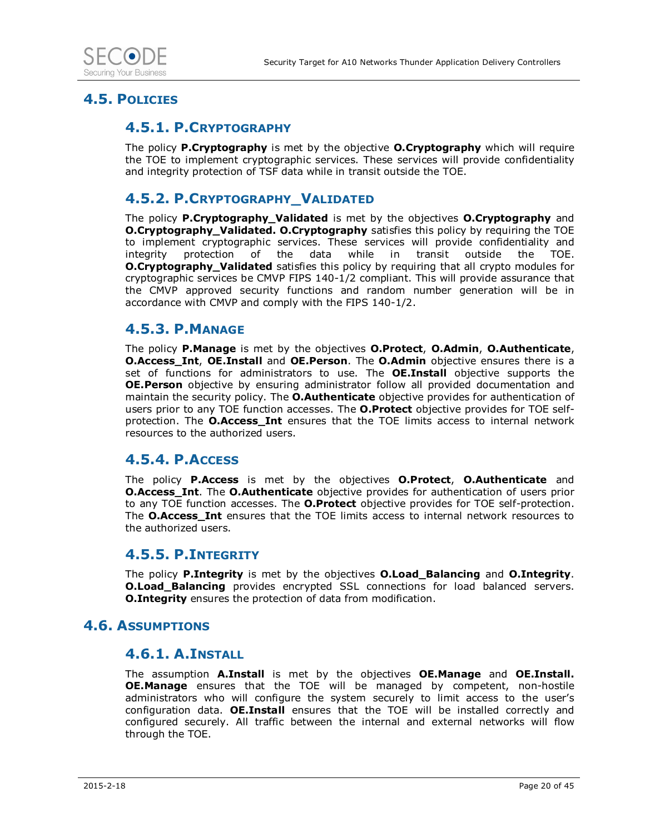

#### **4.5. POLICIES**

#### **4.5.1. P.CRYPTOGRAPHY**

The policy **P.Cryptography** is met by the objective **O.Cryptography** which will require the TOE to implement cryptographic services. These services will provide confidentiality and integrity protection of TSF data while in transit outside the TOE.

### **4.5.2. P.CRYPTOGRAPHY\_VALIDATED**

The policy **P.Cryptography\_Validated** is met by the objectives **O.Cryptography** and **O.Cryptography\_Validated. O.Cryptography** satisfies this policy by requiring the TOE to implement cryptographic services. These services will provide confidentiality and integrity protection of the data while in transit outside the TOE. **O.Cryptography Validated** satisfies this policy by requiring that all crypto modules for cryptographic services be CMVP FIPS 140-1/2 compliant. This will provide assurance that the CMVP approved security functions and random number generation will be in accordance with CMVP and comply with the FIPS 140-1/2.

#### **4.5.3. P.MANAGE**

The policy **P.Manage** is met by the objectives **O.Protect**, **O.Admin**, **O.Authenticate**, **O.Access\_Int**, **OE.Install** and **OE.Person**. The **O.Admin** objective ensures there is a set of functions for administrators to use. The **OE.Install** objective supports the **OE.Person** objective by ensuring administrator follow all provided documentation and maintain the security policy. The **O.Authenticate** objective provides for authentication of users prior to any TOE function accesses. The **O.Protect** objective provides for TOE selfprotection. The **O.Access\_Int** ensures that the TOE limits access to internal network resources to the authorized users.

#### **4.5.4. P.ACCESS**

The policy **P.Access** is met by the objectives **O.Protect**, **O.Authenticate** and **O.Access\_Int**. The **O.Authenticate** objective provides for authentication of users prior to any TOE function accesses. The **O.Protect** objective provides for TOE self-protection. The **O.Access\_Int** ensures that the TOE limits access to internal network resources to the authorized users.

#### **4.5.5. P.INTEGRITY**

The policy **P.Integrity** is met by the objectives **O.Load\_Balancing** and **O.Integrity**. **O.Load\_Balancing** provides encrypted SSL connections for load balanced servers. **O.Integrity** ensures the protection of data from modification.

#### **4.6. ASSUMPTIONS**

#### **4.6.1. A.INSTALL**

The assumption **A.Install** is met by the objectives **OE.Manage** and **OE.Install. OE.Manage** ensures that the TOE will be managed by competent, non-hostile administrators who will configure the system securely to limit access to the user's configuration data. **OE.Install** ensures that the TOE will be installed correctly and configured securely. All traffic between the internal and external networks will flow through the TOE.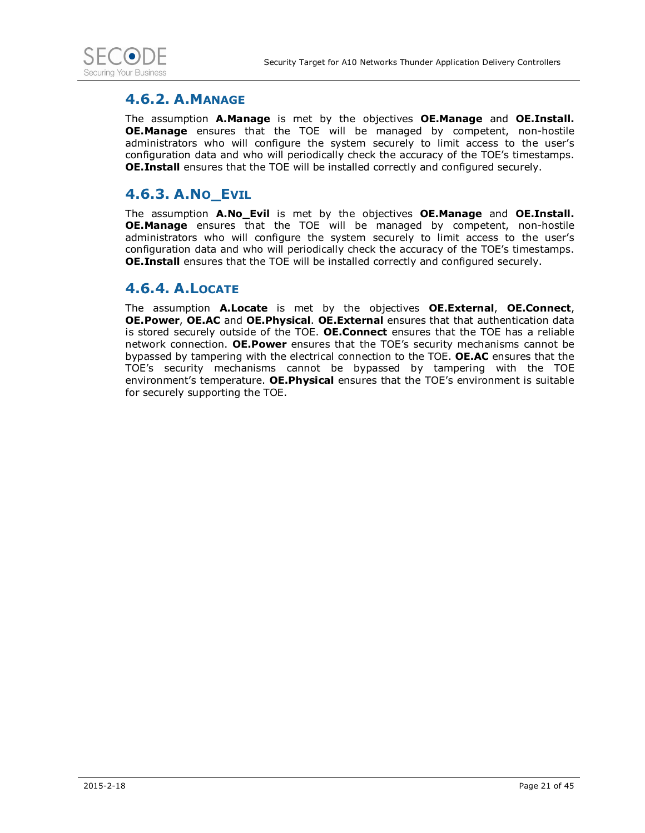

### **4.6.2. A.MANAGE**

The assumption **A.Manage** is met by the objectives **OE.Manage** and **OE.Install. OE.Manage** ensures that the TOE will be managed by competent, non-hostile administrators who will configure the system securely to limit access to the user's configuration data and who will periodically check the accuracy of the TOE's timestamps. **OE.Install** ensures that the TOE will be installed correctly and configured securely.

### **4.6.3. A.NO\_EVIL**

The assumption **A.No\_Evil** is met by the objectives **OE.Manage** and **OE.Install. OE.Manage** ensures that the TOE will be managed by competent, non-hostile administrators who will configure the system securely to limit access to the user's configuration data and who will periodically check the accuracy of the TOE's timestamps. **OE.Install** ensures that the TOE will be installed correctly and configured securely.

### **4.6.4. A.LOCATE**

The assumption **A.Locate** is met by the objectives **OE.External**, **OE.Connect**, **OE.Power**, **OE.AC** and **OE.Physical**. **OE.External** ensures that that authentication data is stored securely outside of the TOE. **OE.Connect** ensures that the TOE has a reliable network connection. **OE.Power** ensures that the TOE's security mechanisms cannot be bypassed by tampering with the electrical connection to the TOE. **OE.AC** ensures that the TOE's security mechanisms cannot be bypassed by tampering with the TOE environment's temperature. **OE.Physical** ensures that the TOE's environment is suitable for securely supporting the TOE.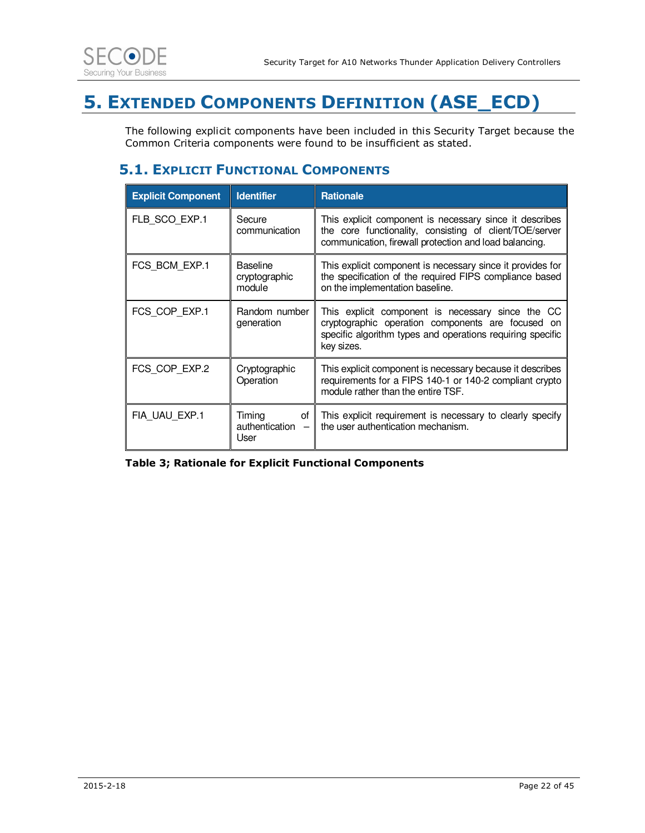

## **5. EXTENDED COMPONENTS DEFINITION (ASE\_ECD)**

The following explicit components have been included in this Security Target because the Common Criteria components were found to be insufficient as stated.

### **5.1. EXPLICIT FUNCTIONAL COMPONENTS**

| <b>Explicit Component</b> | <b>Identifier</b>                          | <b>Rationale</b>                                                                                                                                                                   |
|---------------------------|--------------------------------------------|------------------------------------------------------------------------------------------------------------------------------------------------------------------------------------|
| FLB SCO EXP.1             | Secure<br>communication                    | This explicit component is necessary since it describes<br>the core functionality, consisting of client/TOE/server<br>communication, firewall protection and load balancing.       |
| FCS BCM EXP.1             | <b>Baseline</b><br>cryptographic<br>module | This explicit component is necessary since it provides for<br>the specification of the required FIPS compliance based<br>on the implementation baseline.                           |
| FCS COP EXP.1             | Random number<br>generation                | This explicit component is necessary since the CC<br>cryptographic operation components are focused on<br>specific algorithm types and operations requiring specific<br>key sizes. |
| FCS COP EXP.2             | Cryptographic<br>Operation                 | This explicit component is necessary because it describes<br>requirements for a FIPS 140-1 or 140-2 compliant crypto<br>module rather than the entire TSF.                         |
| FIA UAU EXP.1             | Timing<br>οf<br>authentication<br>User     | This explicit requirement is necessary to clearly specify<br>the user authentication mechanism.                                                                                    |

**Table 3; Rationale for Explicit Functional Components**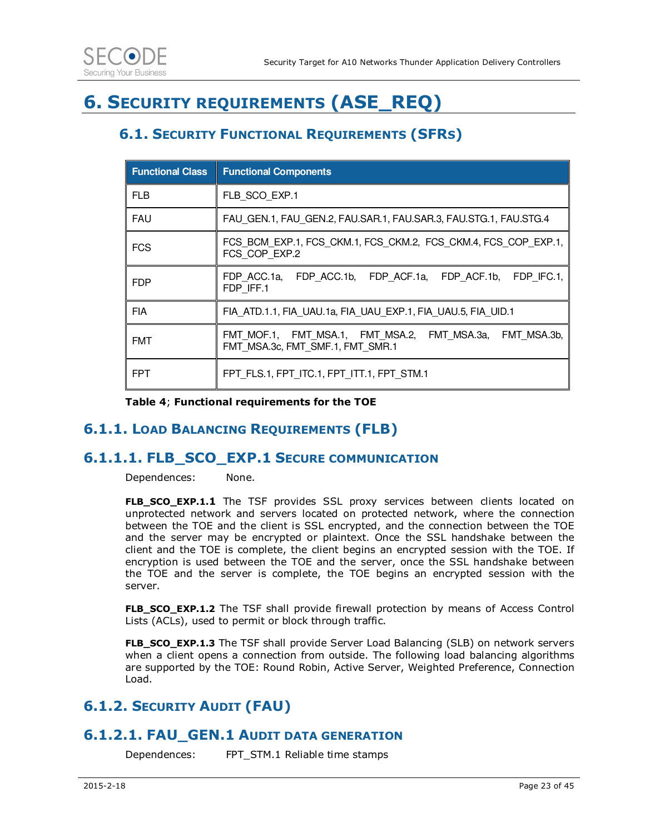

## **6. SECURITY REQUIREMENTS (ASE\_REQ)**

### **6.1. SECURITY FUNCTIONAL REQUIREMENTS (SFRS)**

| <b>Functional Class</b> | <b>Functional Components</b>                                                                 |  |  |  |  |  |  |  |  |  |  |
|-------------------------|----------------------------------------------------------------------------------------------|--|--|--|--|--|--|--|--|--|--|
| <b>FLB</b>              | FLB SCO EXP.1                                                                                |  |  |  |  |  |  |  |  |  |  |
| <b>FAU</b>              | FAU GEN.1, FAU GEN.2, FAU.SAR.1, FAU.SAR.3, FAU.STG.1, FAU.STG.4                             |  |  |  |  |  |  |  |  |  |  |
| <b>FCS</b>              | FCS BCM EXP.1, FCS CKM.1, FCS CKM.2, FCS CKM.4, FCS COP EXP.1,<br>FCS COP EXP.2              |  |  |  |  |  |  |  |  |  |  |
| <b>FDP</b>              | FDP ACC.1a, FDP ACC.1b, FDP ACF.1a, FDP ACF.1b, FDP IFC.1,<br>FDP IFF.1                      |  |  |  |  |  |  |  |  |  |  |
| <b>FIA</b>              | FIA ATD.1.1, FIA UAU.1a, FIA UAU EXP.1, FIA UAU.5, FIA UID.1                                 |  |  |  |  |  |  |  |  |  |  |
| <b>FMT</b>              | FMT MOF.1, FMT MSA.1, FMT MSA.2, FMT MSA.3a, FMT MSA.3b,<br>FMT MSA.3c, FMT SMF.1, FMT SMR.1 |  |  |  |  |  |  |  |  |  |  |
| <b>FPT</b>              | FPT FLS.1, FPT ITC.1, FPT ITT.1, FPT STM.1                                                   |  |  |  |  |  |  |  |  |  |  |

**Table 4**; **Functional requirements for the TOE** 

### **6.1.1. LOAD BALANCING REQUIREMENTS (FLB)**

#### **6.1.1.1. FLB\_SCO\_EXP.1 SECURE COMMUNICATION**

Dependences: None.

**FLB\_SCO\_EXP.1.1** The TSF provides SSL proxy services between clients located on unprotected network and servers located on protected network, where the connection between the TOE and the client is SSL encrypted, and the connection between the TOE and the server may be encrypted or plaintext. Once the SSL handshake between the client and the TOE is complete, the client begins an encrypted session with the TOE. If encryption is used between the TOE and the server, once the SSL handshake between the TOE and the server is complete, the TOE begins an encrypted session with the server.

**FLB\_SCO\_EXP.1.2** The TSF shall provide firewall protection by means of Access Control Lists (ACLs), used to permit or block through traffic.

**FLB\_SCO\_EXP.1.3** The TSF shall provide Server Load Balancing (SLB) on network servers when a client opens a connection from outside. The following load balancing algorithms are supported by the TOE: Round Robin, Active Server, Weighted Preference, Connection Load.

### **6.1.2. SECURITY AUDIT (FAU)**

#### **6.1.2.1. FAU\_GEN.1 AUDIT DATA GENERATION**

Dependences: FPT\_STM.1 Reliable time stamps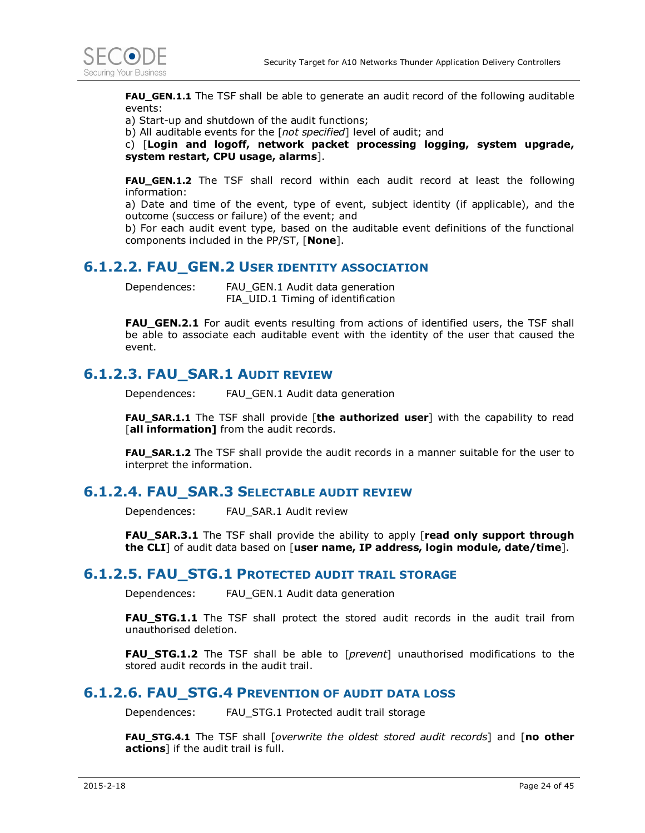

**FAU\_GEN.1.1** The TSF shall be able to generate an audit record of the following auditable events:

a) Start-up and shutdown of the audit functions;

b) All auditable events for the [*not specified*] level of audit; and

c) [**Login and logoff, network packet processing logging, system upgrade, system restart, CPU usage, alarms**].

**FAU GEN.1.2** The TSF shall record within each audit record at least the following information:

a) Date and time of the event, type of event, subject identity (if applicable), and the outcome (success or failure) of the event; and

b) For each audit event type, based on the auditable event definitions of the functional components included in the PP/ST, [**None**].

#### **6.1.2.2. FAU GEN.2 USER IDENTITY ASSOCIATION**

Dependences: FAU\_GEN.1 Audit data generation FIA\_UID.1 Timing of identification

**FAU\_GEN.2.1** For audit events resulting from actions of identified users, the TSF shall be able to associate each auditable event with the identity of the user that caused the event.

#### **6.1.2.3. FAU\_SAR.1 AUDIT REVIEW**

Dependences: FAU\_GEN.1 Audit data generation

**FAU\_SAR.1.1** The TSF shall provide [**the authorized user**] with the capability to read [all information] from the audit records.

**FAU\_SAR.1.2** The TSF shall provide the audit records in a manner suitable for the user to interpret the information.

#### **6.1.2.4. FAU\_SAR.3 SELECTABLE AUDIT REVIEW**

Dependences: FAU\_SAR.1 Audit review

**FAU\_SAR.3.1** The TSF shall provide the ability to apply [**read only support through the CLI**] of audit data based on [**user name, IP address, login module, date/time**].

#### **6.1.2.5. FAU\_STG.1 PROTECTED AUDIT TRAIL STORAGE**

Dependences: FAU\_GEN.1 Audit data generation

**FAU\_STG.1.1** The TSF shall protect the stored audit records in the audit trail from unauthorised deletion.

**FAU\_STG.1.2** The TSF shall be able to [*prevent*] unauthorised modifications to the stored audit records in the audit trail.

#### **6.1.2.6. FAU\_STG.4 PREVENTION OF AUDIT DATA LOSS**

Dependences: FAU\_STG.1 Protected audit trail storage

**FAU\_STG.4.1** The TSF shall [*overwrite the oldest stored audit records*] and [**no other actions**] if the audit trail is full.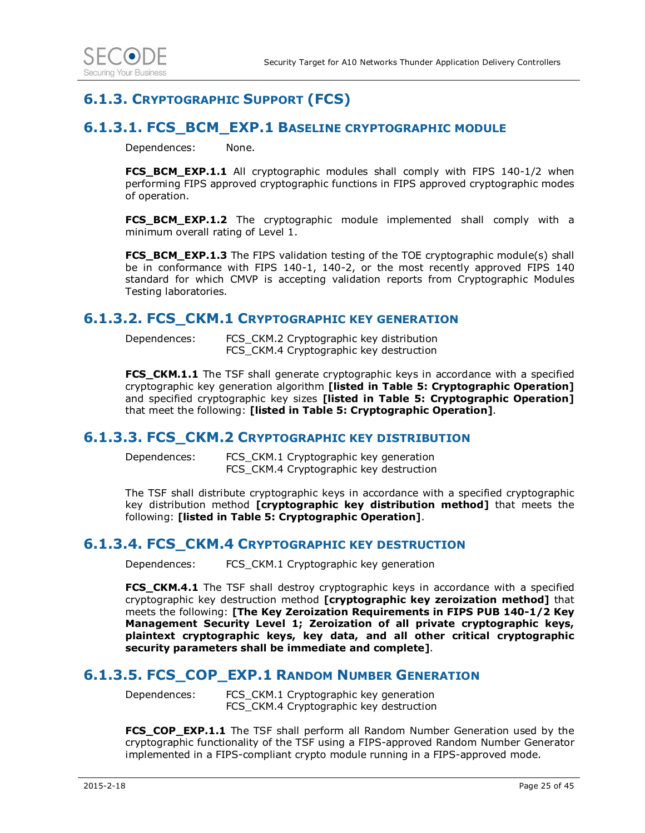### **6.1.3. CRYPTOGRAPHIC SUPPORT (FCS)**

### **6.1.3.1. FCS\_BCM\_EXP.1 BASELINE CRYPTOGRAPHIC MODULE**

Dependences: None.

**FCS BCM EXP.1.1** All cryptographic modules shall comply with FIPS 140-1/2 when performing FIPS approved cryptographic functions in FIPS approved cryptographic modes of operation.

**FCS\_BCM\_EXP.1.2** The cryptographic module implemented shall comply with a minimum overall rating of Level 1.

**FCS\_BCM\_EXP.1.3** The FIPS validation testing of the TOE cryptographic module(s) shall be in conformance with FIPS 140-1, 140-2, or the most recently approved FIPS 140 standard for which CMVP is accepting validation reports from Cryptographic Modules Testing laboratories.

#### **6.1.3.2. FCS\_CKM.1 CRYPTOGRAPHIC KEY GENERATION**

Dependences: FCS\_CKM.2 Cryptographic key distribution FCS CKM.4 Cryptographic key destruction

**FCS\_CKM.1.1** The TSF shall generate cryptographic keys in accordance with a specified cryptographic key generation algorithm **[listed in Table 5: Cryptographic Operation]** and specified cryptographic key sizes **[listed in Table 5: Cryptographic Operation]** that meet the following: **[listed in Table 5: Cryptographic Operation]**.

#### **6.1.3.3. FCS\_CKM.2 CRYPTOGRAPHIC KEY DISTRIBUTION**

Dependences: FCS\_CKM.1 Cryptographic key generation FCS CKM.4 Cryptographic key destruction

The TSF shall distribute cryptographic keys in accordance with a specified cryptographic key distribution method **[cryptographic key distribution method]** that meets the following: **[listed in Table 5: Cryptographic Operation]**.

#### **6.1.3.4. FCS\_CKM.4 CRYPTOGRAPHIC KEY DESTRUCTION**

Dependences: FCS\_CKM.1 Cryptographic key generation

**FCS\_CKM.4.1** The TSF shall destroy cryptographic keys in accordance with a specified cryptographic key destruction method **[cryptographic key zeroization method]** that meets the following: **[The Key Zeroization Requirements in FIPS PUB 140-1/2 Key Management Security Level 1; Zeroization of all private cryptographic keys, plaintext cryptographic keys, key data, and all other critical cryptographic security parameters shall be immediate and complete]**.

#### **6.1.3.5. FCS\_COP\_EXP.1 RANDOM NUMBER GENERATION**

Dependences: FCS CKM.1 Cryptographic key generation FCS\_CKM.4 Cryptographic key destruction

**FCS\_COP\_EXP.1.1** The TSF shall perform all Random Number Generation used by the cryptographic functionality of the TSF using a FIPS-approved Random Number Generator implemented in a FIPS-compliant crypto module running in a FIPS-approved mode.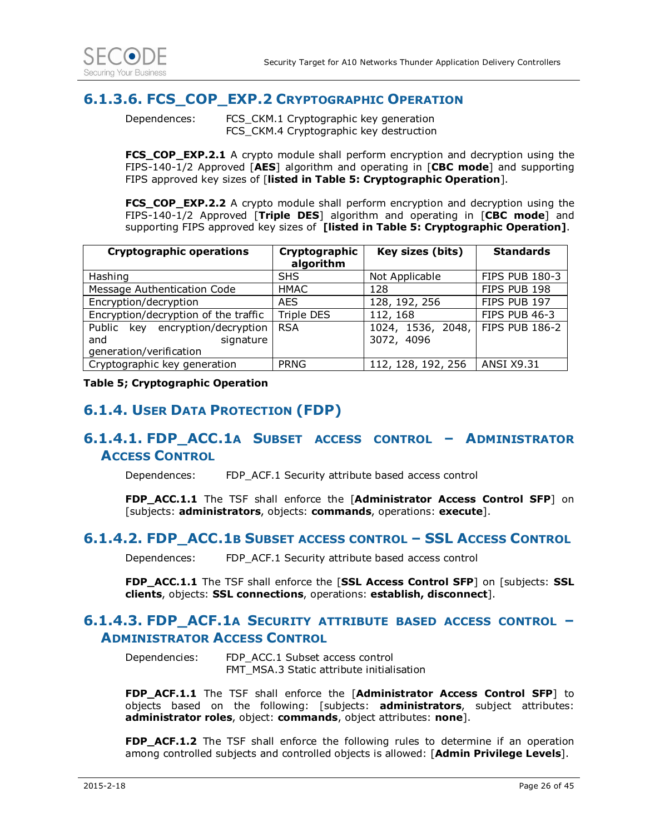

### **6.1.3.6. FCS\_COP\_EXP.2 CRYPTOGRAPHIC OPERATION**

Dependences: FCS CKM.1 Cryptographic key generation FCS\_CKM.4 Cryptographic key destruction

**FCS\_COP\_EXP.2.1** A crypto module shall perform encryption and decryption using the FIPS-140-1/2 Approved [**AES**] algorithm and operating in [**CBC mode**] and supporting FIPS approved key sizes of [**listed in Table 5: Cryptographic Operation**].

**FCS\_COP\_EXP.2.2** A crypto module shall perform encryption and decryption using the FIPS-140-1/2 Approved [**Triple DES**] algorithm and operating in [**CBC mode**] and supporting FIPS approved key sizes of **[listed in Table 5: Cryptographic Operation]**.

| <b>Cryptographic operations</b>      | Cryptographic<br>algorithm | Key sizes (bits)                 | <b>Standards</b>      |
|--------------------------------------|----------------------------|----------------------------------|-----------------------|
| Hashing                              | <b>SHS</b>                 | Not Applicable                   | <b>FIPS PUB 180-3</b> |
| Message Authentication Code          | HMAC                       | 128                              | FIPS PUB 198          |
| Encryption/decryption                | AES.                       | 128, 192, 256                    | FIPS PUB 197          |
| Encryption/decryption of the traffic | <b>Triple DES</b>          | 112, 168                         | FIPS PUB 46-3         |
| key encryption/decryption<br>Public  | <b>RSA</b>                 | 1024, 1536, 2048, FIPS PUB 186-2 |                       |
| signature<br>and                     |                            | 3072, 4096                       |                       |
| generation/verification              |                            |                                  |                       |
| Cryptographic key generation         | <b>PRNG</b>                | 112, 128, 192, 256               | <b>ANSI X9.31</b>     |

**Table 5; Cryptographic Operation** 

### **6.1.4. USER DATA PROTECTION (FDP)**

### **6.1.4.1. FDP\_ACC.1A SUBSET ACCESS CONTROL – ADMINISTRATOR ACCESS CONTROL**

Dependences: FDP\_ACF.1 Security attribute based access control

**FDP\_ACC.1.1** The TSF shall enforce the [**Administrator Access Control SFP**] on [subjects: **administrators**, objects: **commands**, operations: **execute**].

#### **6.1.4.2. FDP\_ACC.1B SUBSET ACCESS CONTROL – SSL ACCESS CONTROL**

Dependences: FDP\_ACF.1 Security attribute based access control

**FDP\_ACC.1.1** The TSF shall enforce the [**SSL Access Control SFP**] on [subjects: **SSL clients**, objects: **SSL connections**, operations: **establish, disconnect**].

#### **6.1.4.3. FDP\_ACF.1A SECURITY ATTRIBUTE BASED ACCESS CONTROL – ADMINISTRATOR ACCESS CONTROL**

Dependencies: FDP\_ACC.1 Subset access control FMT\_MSA.3 Static attribute initialisation

**FDP\_ACF.1.1** The TSF shall enforce the [**Administrator Access Control SFP**] to objects based on the following: [subjects: **administrators**, subject attributes: **administrator roles**, object: **commands**, object attributes: **none**].

**FDP\_ACF.1.2** The TSF shall enforce the following rules to determine if an operation among controlled subjects and controlled objects is allowed: [**Admin Privilege Levels**].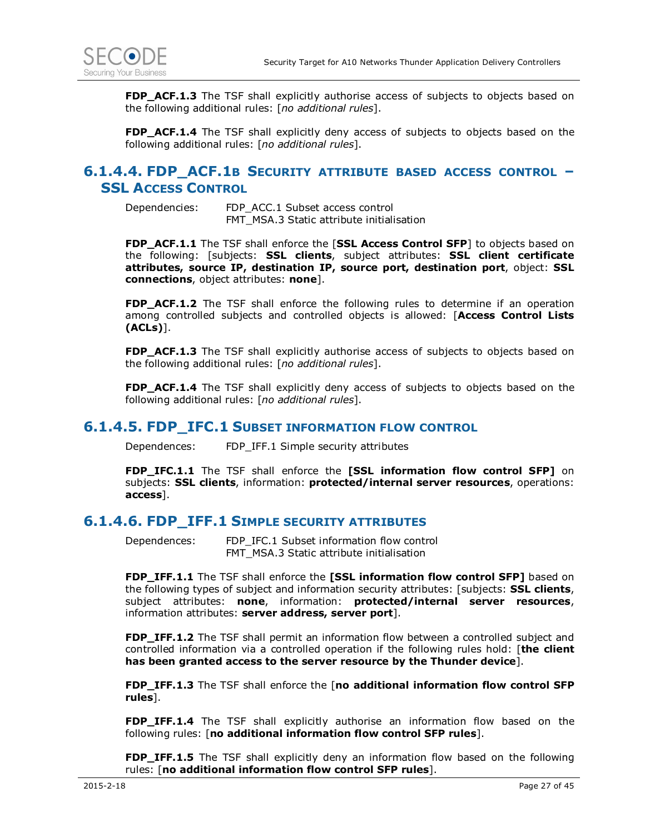

**FDP\_ACF.1.3** The TSF shall explicitly authorise access of subjects to objects based on the following additional rules: [*no additional rules*].

**FDP\_ACF.1.4** The TSF shall explicitly deny access of subjects to objects based on the following additional rules: [*no additional rules*].

#### **6.1.4.4. FDP\_ACF.1B SECURITY ATTRIBUTE BASED ACCESS CONTROL – SSL ACCESS CONTROL**

Dependencies: FDP\_ACC.1 Subset access control FMT\_MSA.3 Static attribute initialisation

**FDP\_ACF.1.1** The TSF shall enforce the [**SSL Access Control SFP**] to objects based on the following: [subjects: **SSL clients**, subject attributes: **SSL client certificate attributes, source IP, destination IP, source port, destination port**, object: **SSL connections**, object attributes: **none**].

**FDP\_ACF.1.2** The TSF shall enforce the following rules to determine if an operation among controlled subjects and controlled objects is allowed: [**Access Control Lists (ACLs)**].

**FDP\_ACF.1.3** The TSF shall explicitly authorise access of subjects to objects based on the following additional rules: [*no additional rules*].

**FDP\_ACF.1.4** The TSF shall explicitly deny access of subjects to objects based on the following additional rules: [*no additional rules*].

#### **6.1.4.5. FDP\_IFC.1 SUBSET INFORMATION FLOW CONTROL**

Dependences: FDP\_IFF.1 Simple security attributes

**FDP\_IFC.1.1** The TSF shall enforce the **[SSL information flow control SFP]** on subjects: **SSL clients**, information: **protected/internal server resources**, operations: **access**].

#### **6.1.4.6. FDP\_IFF.1 SIMPLE SECURITY ATTRIBUTES**

Dependences: FDP\_IFC.1 Subset information flow control FMT\_MSA.3 Static attribute initialisation

**FDP IFF.1.1** The TSF shall enforce the **[SSL information flow control SFP]** based on the following types of subject and information security attributes: [subjects: **SSL clients**, subject attributes: **none**, information: **protected/internal server resources**, information attributes: **server address, server port**].

**FDP\_IFF.1.2** The TSF shall permit an information flow between a controlled subject and controlled information via a controlled operation if the following rules hold: [**the client has been granted access to the server resource by the Thunder device**].

**FDP\_IFF.1.3** The TSF shall enforce the [**no additional information flow control SFP rules**].

**FDP IFF.1.4** The TSF shall explicitly authorise an information flow based on the following rules: [**no additional information flow control SFP rules**].

**FDP\_IFF.1.5** The TSF shall explicitly deny an information flow based on the following rules: [**no additional information flow control SFP rules**].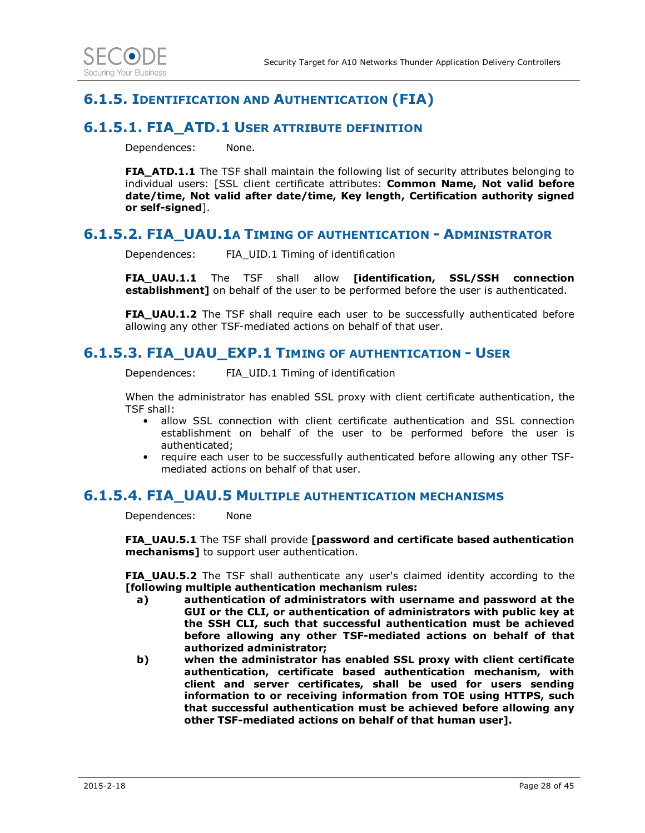

### **6.1.5. IDENTIFICATION AND AUTHENTICATION (FIA)**

#### **6.1.5.1. FIA\_ATD.1 USER ATTRIBUTE DEFINITION**

Dependences: None.

**FIA\_ATD.1.1** The TSF shall maintain the following list of security attributes belonging to individual users: [SSL client certificate attributes: **Common Name, Not valid before date/time, Not valid after date/time, Key length, Certification authority signed or self-signed**].

#### **6.1.5.2. FIA\_UAU.1A TIMING OF AUTHENTICATION - ADMINISTRATOR**

Dependences: FIA\_UID.1 Timing of identification

**FIA\_UAU.1.1** The TSF shall allow **[identification, SSL/SSH connection establishment]** on behalf of the user to be performed before the user is authenticated.

**FIA\_UAU.1.2** The TSF shall require each user to be successfully authenticated before allowing any other TSF-mediated actions on behalf of that user.

#### **6.1.5.3. FIA\_UAU\_EXP.1 TIMING OF AUTHENTICATION - USER**

Dependences: FIA\_UID.1 Timing of identification

When the administrator has enabled SSL proxy with client certificate authentication, the TSF shall:

- allow SSL connection with client certificate authentication and SSL connection establishment on behalf of the user to be performed before the user is authenticated;
- require each user to be successfully authenticated before allowing any other TSFmediated actions on behalf of that user.

#### **6.1.5.4. FIA\_UAU.5 MULTIPLE AUTHENTICATION MECHANISMS**

Dependences: None

**FIA\_UAU.5.1** The TSF shall provide **[password and certificate based authentication mechanisms]** to support user authentication.

**FIA\_UAU.5.2** The TSF shall authenticate any user's claimed identity according to the **[following multiple authentication mechanism rules:**

- **a) authentication of administrators with username and password at the GUI or the CLI, or authentication of administrators with public key at the SSH CLI, such that successful authentication must be achieved before allowing any other TSF-mediated actions on behalf of that authorized administrator;**
- **b) when the administrator has enabled SSL proxy with client certificate authentication, certificate based authentication mechanism, with client and server certificates, shall be used for users sending information to or receiving information from TOE using HTTPS, such that successful authentication must be achieved before allowing any other TSF-mediated actions on behalf of that human user].**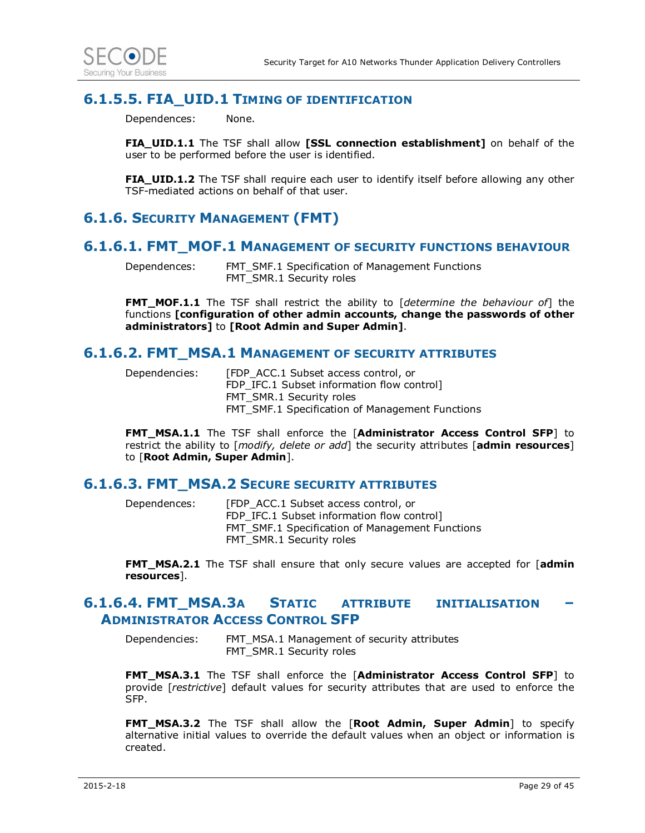

### **6.1.5.5. FIA\_UID.1 TIMING OF IDENTIFICATION**

Dependences: None.

**FIA\_UID.1.1** The TSF shall allow **[SSL connection establishment]** on behalf of the user to be performed before the user is identified.

**FIA\_UID.1.2** The TSF shall require each user to identify itself before allowing any other TSF-mediated actions on behalf of that user.

### **6.1.6. SECURITY MANAGEMENT (FMT)**

#### **6.1.6.1. FMT\_MOF.1 MANAGEMENT OF SECURITY FUNCTIONS BEHAVIOUR**

Dependences: FMT\_SMF.1 Specification of Management Functions FMT\_SMR.1 Security roles

**FMT\_MOF.1.1** The TSF shall restrict the ability to [*determine the behaviour of*] the functions **[configuration of other admin accounts, change the passwords of other administrators]** to **[Root Admin and Super Admin]**.

#### **6.1.6.2. FMT\_MSA.1 MANAGEMENT OF SECURITY ATTRIBUTES**

Dependencies: [FDP\_ACC.1 Subset access control, or FDP IFC.1 Subset information flow control] FMT\_SMR.1 Security roles FMT\_SMF.1 Specification of Management Functions

**FMT\_MSA.1.1** The TSF shall enforce the [**Administrator Access Control SFP**] to restrict the ability to [*modify, delete or add*] the security attributes [**admin resources**] to [**Root Admin, Super Admin**].

#### **6.1.6.3. FMT\_MSA.2 SECURE SECURITY ATTRIBUTES**

Dependences: [FDP\_ACC.1 Subset access control, or FDP\_IFC.1 Subset information flow control] FMT\_SMF.1 Specification of Management Functions FMT\_SMR.1 Security roles

**FMT\_MSA.2.1** The TSF shall ensure that only secure values are accepted for [**admin resources**].

#### **6.1.6.4. FMT\_MSA.3A STATIC ATTRIBUTE INITIALISATION – ADMINISTRATOR ACCESS CONTROL SFP**

Dependencies: FMT\_MSA.1 Management of security attributes FMT\_SMR.1 Security roles

**FMT\_MSA.3.1** The TSF shall enforce the [**Administrator Access Control SFP**] to provide [*restrictive*] default values for security attributes that are used to enforce the SFP.

**FMT\_MSA.3.2** The TSF shall allow the [**Root Admin, Super Admin**] to specify alternative initial values to override the default values when an object or information is created.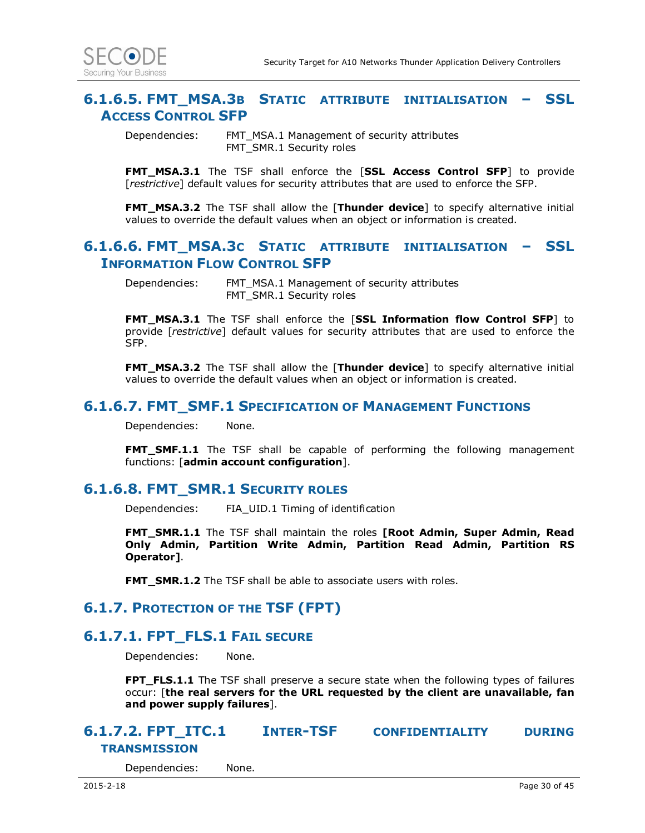

#### **6.1.6.5. FMT\_MSA.3B STATIC ATTRIBUTE INITIALISATION – SSL ACCESS CONTROL SFP**

Dependencies: FMT\_MSA.1 Management of security attributes FMT\_SMR.1 Security roles

**FMT\_MSA.3.1** The TSF shall enforce the [**SSL Access Control SFP**] to provide [*restrictive*] default values for security attributes that are used to enforce the SFP.

**FMT\_MSA.3.2** The TSF shall allow the [**Thunder device**] to specify alternative initial values to override the default values when an object or information is created.

#### **6.1.6.6. FMT\_MSA.3C STATIC ATTRIBUTE INITIALISATION – SSL INFORMATION FLOW CONTROL SFP**

Dependencies: FMT\_MSA.1 Management of security attributes FMT\_SMR.1 Security roles

**FMT\_MSA.3.1** The TSF shall enforce the [**SSL Information flow Control SFP**] to provide [*restrictive*] default values for security attributes that are used to enforce the SFP.

**FMT\_MSA.3.2** The TSF shall allow the [**Thunder device**] to specify alternative initial values to override the default values when an object or information is created.

#### **6.1.6.7. FMT\_SMF.1 SPECIFICATION OF MANAGEMENT FUNCTIONS**

Dependencies: None.

**FMT\_SMF.1.1** The TSF shall be capable of performing the following management functions: [**admin account configuration**].

#### **6.1.6.8. FMT\_SMR.1 SECURITY ROLES**

Dependencies: FIA\_UID.1 Timing of identification

**FMT\_SMR.1.1** The TSF shall maintain the roles **[Root Admin, Super Admin, Read Only Admin, Partition Write Admin, Partition Read Admin, Partition RS Operator]**.

**FMT\_SMR.1.2** The TSF shall be able to associate users with roles.

#### **6.1.7. PROTECTION OF THE TSF (FPT)**

#### **6.1.7.1. FPT\_FLS.1 FAIL SECURE**

Dependencies: None.

**FPT\_FLS.1.1** The TSF shall preserve a secure state when the following types of failures occur: [**the real servers for the URL requested by the client are unavailable, fan and power supply failures**].

### **6.1.7.2. FPT\_ITC.1 INTER-TSF CONFIDENTIALITY DURING TRANSMISSION**

Dependencies: None.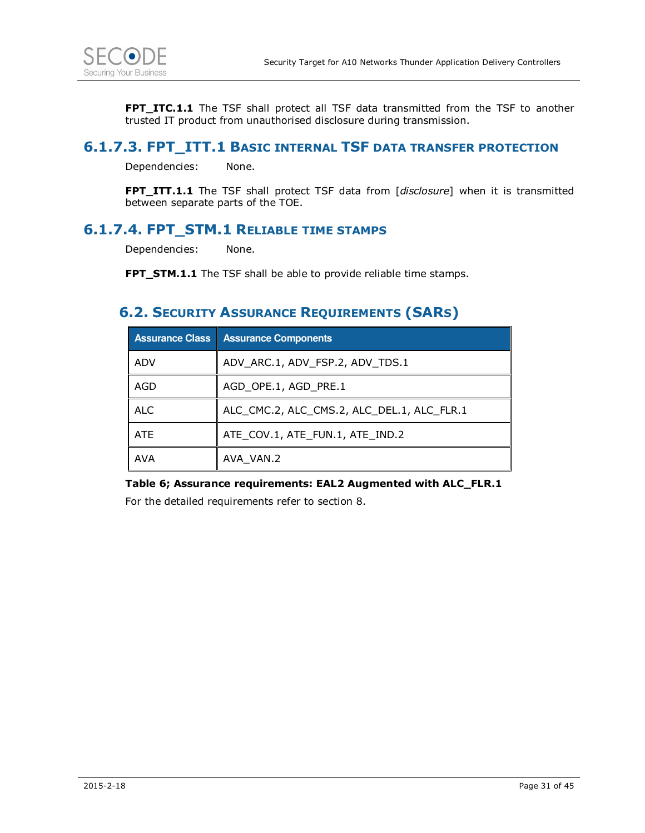

**FPT\_ITC.1.1** The TSF shall protect all TSF data transmitted from the TSF to another trusted IT product from unauthorised disclosure during transmission.

### **6.1.7.3. FPT\_ITT.1 BASIC INTERNAL TSF DATA TRANSFER PROTECTION**

Dependencies: None.

**FPT\_ITT.1.1** The TSF shall protect TSF data from [*disclosure*] when it is transmitted between separate parts of the TOE.

### **6.1.7.4. FPT\_STM.1 RELIABLE TIME STAMPS**

Dependencies: None.

**FPT STM.1.1** The TSF shall be able to provide reliable time stamps.

### **6.2. SECURITY ASSURANCE REQUIREMENTS (SARS)**

| <b>Assurance Class</b> | <b>Assurance Components</b>                |
|------------------------|--------------------------------------------|
| ADV                    | ADV_ARC.1, ADV_FSP.2, ADV_TDS.1            |
| AGD                    | AGD OPE.1, AGD PRE.1                       |
| <b>ALC</b>             | ALC_CMC.2, ALC_CMS.2, ALC_DEL.1, ALC_FLR.1 |
| <b>ATE</b>             | ATE_COV.1, ATE_FUN.1, ATE_IND.2            |
| <b>AVA</b>             | AVA VAN.2                                  |

**Table 6; Assurance requirements: EAL2 Augmented with ALC\_FLR.1**

For the detailed requirements refer to section 8.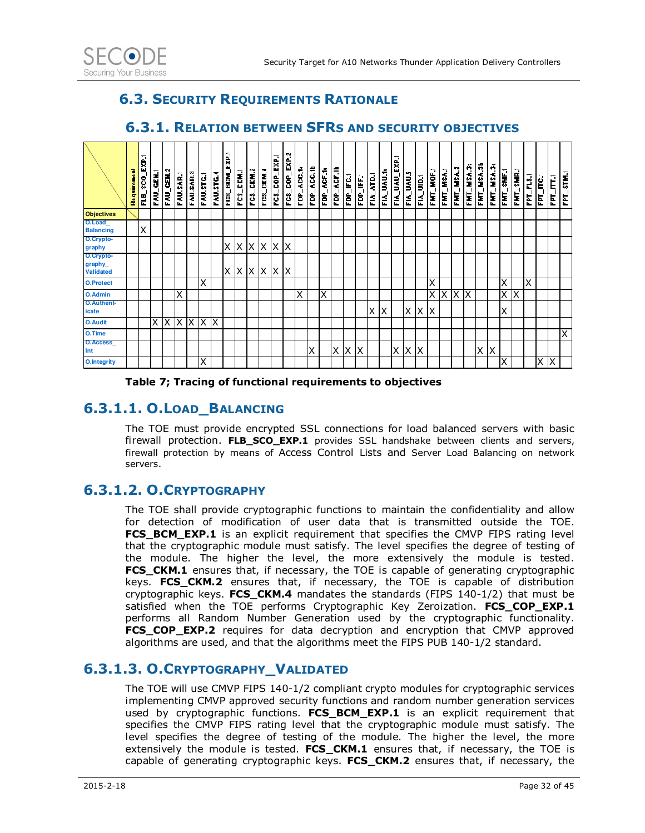

### **6.3. SECURITY REQUIREMENTS RATIONALE**

|                                          | ī<br>Require | FLB_SCO_EXP.1 | FAU_GEN.1 | GEN.2<br>롢 | FAU.SAR.                | FAU.SAR.3 | FAU.STG.1 | FAU.STG. | EXP.1<br>FCS_BCM | CKM.<br>ឌ្ | FCS_CKM.2    | FCS_CKM.4  | FCS_COP_EXP. | FCS_COP_EXP.2 | FDP_ACC.12 | ACC.16<br>È | FDP_ACF.1 | FDP_ACF.1b | FDP_IFC.1 | FDP_IFF.1 | <b>ATDJ</b><br>≨ | <b>UAU.S</b><br>É | E.<br>ш<br><b>TAYAT</b><br>É | FIA_UAU.S | FIA_UID. | FMT_MOF.1 | FMT_MSA.1 | FMT_MSA.2 | FMT_MSA.3: | FMT_MSA.3b | FMT_MSA.3c | FMT_SMF.1 | FMT_SMR.1 | FPT_FLS.1 | FPT_ITC.1 | FPT_ITT.1 | FPT_STM.1               |
|------------------------------------------|--------------|---------------|-----------|------------|-------------------------|-----------|-----------|----------|------------------|------------|--------------|------------|--------------|---------------|------------|-------------|-----------|------------|-----------|-----------|------------------|-------------------|------------------------------|-----------|----------|-----------|-----------|-----------|------------|------------|------------|-----------|-----------|-----------|-----------|-----------|-------------------------|
| <b>Objectives</b>                        |              |               |           |            |                         |           |           |          |                  |            |              |            |              |               |            |             |           |            |           |           |                  |                   |                              |           |          |           |           |           |            |            |            |           |           |           |           |           |                         |
| O.Load<br><b>Balancing</b>               |              | X             |           |            |                         |           |           |          |                  |            |              |            |              |               |            |             |           |            |           |           |                  |                   |                              |           |          |           |           |           |            |            |            |           |           |           |           |           |                         |
| O.Crypto-<br>graphy                      |              |               |           |            |                         |           |           |          | ΧI               | X          | $\mathsf{X}$ | XX         |              | $\mathsf{X}$  |            |             |           |            |           |           |                  |                   |                              |           |          |           |           |           |            |            |            |           |           |           |           |           |                         |
| O.Crypto-<br>graphy_<br><b>Validated</b> |              |               |           |            |                         |           |           |          | X X              |            | $\mathsf{X}$ | $x \times$ |              | ΙX            |            |             |           |            |           |           |                  |                   |                              |           |          |           |           |           |            |            |            |           |           |           |           |           |                         |
| <b>O.Protect</b>                         |              |               |           |            |                         |           | X         |          |                  |            |              |            |              |               |            |             |           |            |           |           |                  |                   |                              |           |          | X         |           |           |            |            |            | ΙX        |           | X         |           |           |                         |
| <b>O.Admin</b>                           |              |               |           |            | $\overline{\mathsf{x}}$ |           |           |          |                  |            |              |            |              |               | X          |             | X         |            |           |           |                  |                   |                              |           |          | X         | $X \mid$  | Χ         | ΤX         |            |            | X         | Х         |           |           |           |                         |
| <b>O.Authent-</b><br>icate               |              |               |           |            |                         |           |           |          |                  |            |              |            |              |               |            |             |           |            |           |           | Χ                | X                 |                              | X         | X        | $\sf X$   |           |           |            |            |            | X         |           |           |           |           |                         |
| <b>O.Audit</b>                           |              |               | $\times$  | X          | <b>X</b>                | X         | ΙX        | X        |                  |            |              |            |              |               |            |             |           |            |           |           |                  |                   |                              |           |          |           |           |           |            |            |            |           |           |           |           |           |                         |
| O.Time                                   |              |               |           |            |                         |           |           |          |                  |            |              |            |              |               |            |             |           |            |           |           |                  |                   |                              |           |          |           |           |           |            |            |            |           |           |           |           |           | $\overline{\mathsf{x}}$ |
| O.Access_<br>Int                         |              |               |           |            |                         |           |           |          |                  |            |              |            |              |               |            | Χ           |           | $x \, x$   |           | X         |                  |                   | $\times$                     | Χ         | ΙX       |           |           |           |            | Χ          | Х          |           |           |           |           |           |                         |
| <b>O.Integrity</b>                       |              |               |           |            |                         |           | X         |          |                  |            |              |            |              |               |            |             |           |            |           |           |                  |                   |                              |           |          |           |           |           |            |            |            | X         |           |           | Χ         | ΙX        |                         |

#### **6.3.1. RELATION BETWEEN SFRS AND SECURITY OBJECTIVES**

**Table 7; Tracing of functional requirements to objectives** 

### **6.3.1.1. O.LOAD\_BALANCING**

The TOE must provide encrypted SSL connections for load balanced servers with basic firewall protection. **FLB\_SCO\_EXP.1** provides SSL handshake between clients and servers, firewall protection by means of Access Control Lists and Server Load Balancing on network servers.

### **6.3.1.2. O.CRYPTOGRAPHY**

The TOE shall provide cryptographic functions to maintain the confidentiality and allow for detection of modification of user data that is transmitted outside the TOE. FCS\_BCM\_EXP.1 is an explicit requirement that specifies the CMVP FIPS rating level that the cryptographic module must satisfy. The level specifies the degree of testing of the module. The higher the level, the more extensively the module is tested. **FCS\_CKM.1** ensures that, if necessary, the TOE is capable of generating cryptographic keys. **FCS\_CKM.2** ensures that, if necessary, the TOE is capable of distribution cryptographic keys. **FCS\_CKM.4** mandates the standards (FIPS 140-1/2) that must be satisfied when the TOE performs Cryptographic Key Zeroization. **FCS\_COP\_EXP.1** performs all Random Number Generation used by the cryptographic functionality. **FCS\_COP\_EXP.2** requires for data decryption and encryption that CMVP approved algorithms are used, and that the algorithms meet the FIPS PUB 140-1/2 standard.

### **6.3.1.3. O.CRYPTOGRAPHY\_VALIDATED**

The TOE will use CMVP FIPS 140-1/2 compliant crypto modules for cryptographic services implementing CMVP approved security functions and random number generation services used by cryptographic functions. **FCS BCM EXP.1** is an explicit requirement that specifies the CMVP FIPS rating level that the cryptographic module must satisfy. The level specifies the degree of testing of the module. The higher the level, the more extensively the module is tested. **FCS\_CKM.1** ensures that, if necessary, the TOE is capable of generating cryptographic keys. FCS CKM.2 ensures that, if necessary, the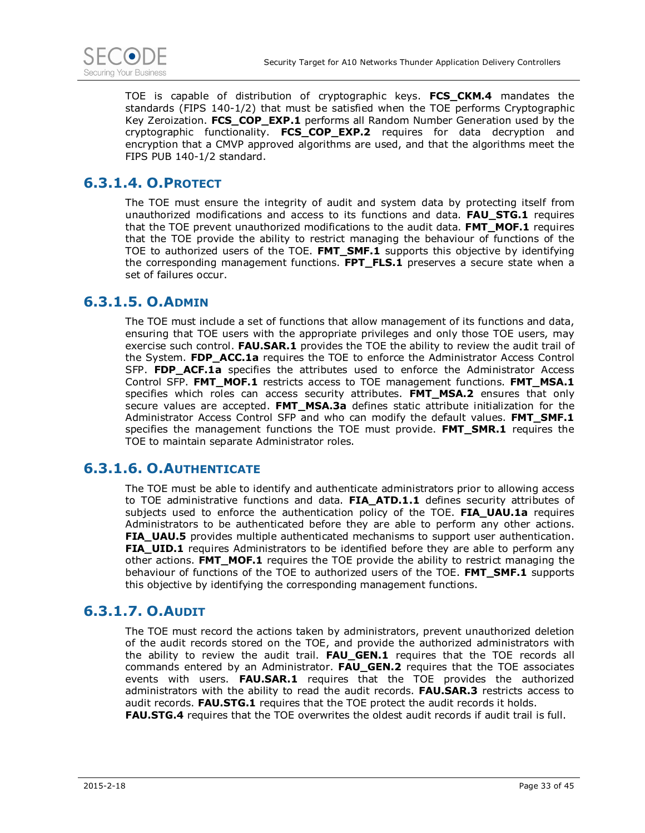

TOE is capable of distribution of cryptographic keys. **FCS\_CKM.4** mandates the standards (FIPS 140-1/2) that must be satisfied when the TOE performs Cryptographic Key Zeroization. **FCS\_COP\_EXP.1** performs all Random Number Generation used by the cryptographic functionality. **FCS\_COP\_EXP.2** requires for data decryption and encryption that a CMVP approved algorithms are used, and that the algorithms meet the FIPS PUB 140-1/2 standard.

### **6.3.1.4. O.PROTECT**

The TOE must ensure the integrity of audit and system data by protecting itself from unauthorized modifications and access to its functions and data. **FAU\_STG.1** requires that the TOE prevent unauthorized modifications to the audit data. **FMT\_MOF.1** requires that the TOE provide the ability to restrict managing the behaviour of functions of the TOE to authorized users of the TOE. **FMT\_SMF.1** supports this objective by identifying the corresponding management functions. **FPT\_FLS.1** preserves a secure state when a set of failures occur.

### **6.3.1.5. O.ADMIN**

The TOE must include a set of functions that allow management of its functions and data, ensuring that TOE users with the appropriate privileges and only those TOE users, may exercise such control. **FAU.SAR.1** provides the TOE the ability to review the audit trail of the System. **FDP\_ACC.1a** requires the TOE to enforce the Administrator Access Control SFP. FDP ACF.1a specifies the attributes used to enforce the Administrator Access Control SFP. **FMT\_MOF.1** restricts access to TOE management functions. **FMT\_MSA.1**  specifies which roles can access security attributes. **FMT\_MSA.2** ensures that only secure values are accepted. **FMT\_MSA.3a** defines static attribute initialization for the Administrator Access Control SFP and who can modify the default values. **FMT\_SMF.1** specifies the management functions the TOE must provide. **FMT\_SMR.1** requires the TOE to maintain separate Administrator roles.

### **6.3.1.6. O.AUTHENTICATE**

The TOE must be able to identify and authenticate administrators prior to allowing access to TOE administrative functions and data. **FIA\_ATD.1.1** defines security attributes of subjects used to enforce the authentication policy of the TOE. **FIA\_UAU.1a** requires Administrators to be authenticated before they are able to perform any other actions. **FIA UAU.5** provides multiple authenticated mechanisms to support user authentication. **FIA\_UID.1** requires Administrators to be identified before they are able to perform any other actions. **FMT\_MOF.1** requires the TOE provide the ability to restrict managing the behaviour of functions of the TOE to authorized users of the TOE. **FMT\_SMF.1** supports this objective by identifying the corresponding management functions.

### **6.3.1.7. O.AUDIT**

The TOE must record the actions taken by administrators, prevent unauthorized deletion of the audit records stored on the TOE, and provide the authorized administrators with the ability to review the audit trail. **FAU\_GEN.1** requires that the TOE records all commands entered by an Administrator. **FAU\_GEN.2** requires that the TOE associates events with users. **FAU.SAR.1** requires that the TOE provides the authorized administrators with the ability to read the audit records. **FAU.SAR.3** restricts access to audit records. **FAU.STG.1** requires that the TOE protect the audit records it holds. **FAU.STG.4** requires that the TOE overwrites the oldest audit records if audit trail is full.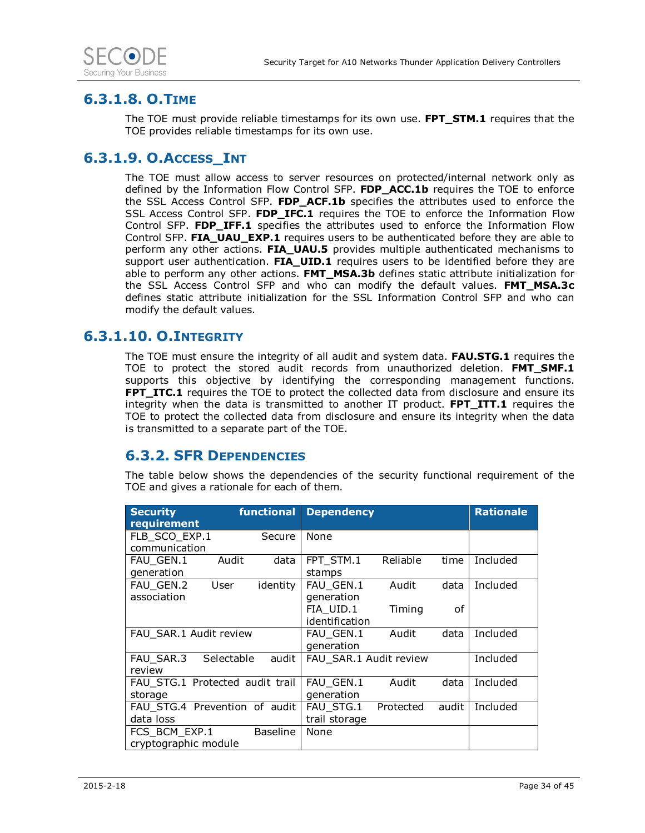

### **6.3.1.8. O.TIME**

The TOE must provide reliable timestamps for its own use. **FPT\_STM.1** requires that the TOE provides reliable timestamps for its own use.

### **6.3.1.9. O.ACCESS\_INT**

The TOE must allow access to server resources on protected/internal network only as defined by the Information Flow Control SFP. **FDP\_ACC.1b** requires the TOE to enforce the SSL Access Control SFP. **FDP\_ACF.1b** specifies the attributes used to enforce the SSL Access Control SFP. **FDP\_IFC.1** requires the TOE to enforce the Information Flow Control SFP. **FDP\_IFF.1** specifies the attributes used to enforce the Information Flow Control SFP. **FIA\_UAU\_EXP.1** requires users to be authenticated before they are able to perform any other actions. **FIA\_UAU.5** provides multiple authenticated mechanisms to support user authentication. **FIA UID.1** requires users to be identified before they are able to perform any other actions. **FMT\_MSA.3b** defines static attribute initialization for the SSL Access Control SFP and who can modify the default values. **FMT\_MSA.3c** defines static attribute initialization for the SSL Information Control SFP and who can modify the default values.

### **6.3.1.10. O.INTEGRITY**

The TOE must ensure the integrity of all audit and system data. **FAU.STG.1** requires the TOE to protect the stored audit records from unauthorized deletion. **FMT\_SMF.1** supports this objective by identifying the corresponding management functions. **FPT\_ITC.1** requires the TOE to protect the collected data from disclosure and ensure its integrity when the data is transmitted to another IT product. **FPT\_ITT.1** requires the TOE to protect the collected data from disclosure and ensure its integrity when the data is transmitted to a separate part of the TOE.

### **6.3.2. SFR DEPENDENCIES**

The table below shows the dependencies of the security functional requirement of the TOE and gives a rationale for each of them.

| <b>Security</b><br>requirement             | functional      | <b>Dependency</b>           |           |       | <b>Rationale</b> |
|--------------------------------------------|-----------------|-----------------------------|-----------|-------|------------------|
| FLB SCO EXP.1<br>communication             | Secure          | <b>None</b>                 |           |       |                  |
| FAU GEN.1<br>Audit<br>generation           | data            | FPT STM.1<br>stamps         | Reliable  | time  | Included         |
| FAU GEN.2<br>User<br>association           | identity        | FAU_GEN.1<br>generation     | Audit     | data  | Included         |
|                                            |                 | FIA UID.1<br>identification | Timing    | οf    |                  |
| FAU SAR.1 Audit review                     |                 | FAU GEN.1<br>generation     | Audit     | data  | Included         |
| Selectable<br>FAU SAR.3<br>review          | audit           | FAU SAR.1 Audit review      |           |       | Included         |
| FAU STG.1 Protected audit trail<br>storage |                 | FAU GEN.1<br>generation     | Audit     | data  | Included         |
| FAU STG.4 Prevention of audit<br>data loss |                 | FAU STG.1<br>trail storage  | Protected | audit | Included         |
| FCS BCM EXP.1<br>cryptographic module      | <b>Baseline</b> | None                        |           |       |                  |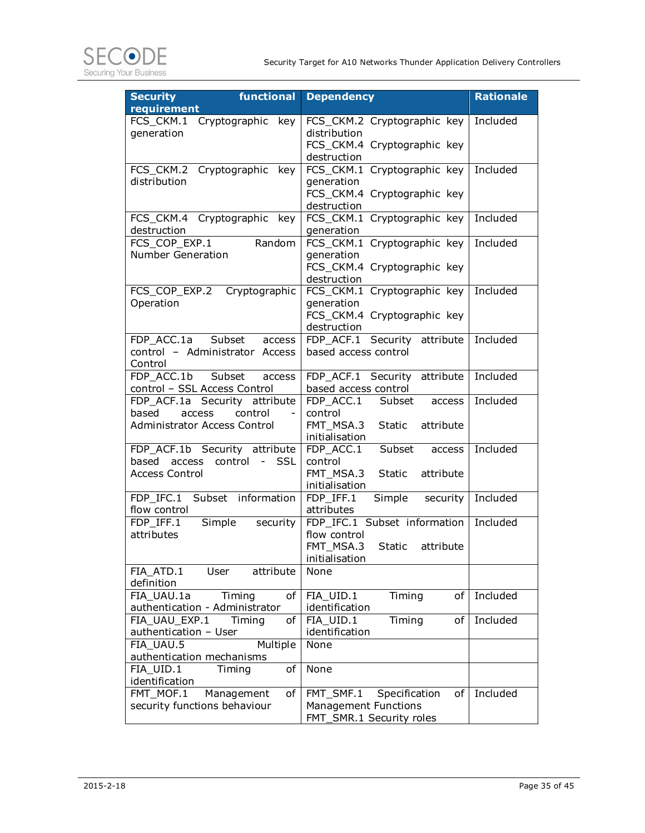

| <b>Security</b><br>functional                               | <b>Dependency</b>                            | <b>Rationale</b> |
|-------------------------------------------------------------|----------------------------------------------|------------------|
| requirement<br>FCS_CKM.1<br>Cryptographic key               | FCS_CKM.2 Cryptographic key                  | Included         |
| generation                                                  | distribution                                 |                  |
|                                                             | FCS_CKM.4 Cryptographic key                  |                  |
|                                                             | destruction                                  |                  |
| FCS_CKM.2 Cryptographic key                                 | FCS_CKM.1 Cryptographic key                  | Included         |
| distribution                                                | generation                                   |                  |
|                                                             | FCS_CKM.4 Cryptographic key                  |                  |
|                                                             | destruction                                  |                  |
| FCS CKM.4 Cryptographic key                                 | FCS_CKM.1 Cryptographic key                  | Included         |
| destruction<br>Random<br>FCS COP EXP.1                      | generation                                   | Included         |
| <b>Number Generation</b>                                    | FCS_CKM.1 Cryptographic key<br>generation    |                  |
|                                                             | FCS_CKM.4 Cryptographic key                  |                  |
|                                                             | destruction                                  |                  |
| Cryptographic<br>FCS_COP_EXP.2                              | FCS CKM.1 Cryptographic key                  | Included         |
| Operation                                                   | generation                                   |                  |
|                                                             | FCS_CKM.4 Cryptographic key                  |                  |
|                                                             | destruction                                  |                  |
| FDP ACC.1a<br>Subset<br>access                              | FDP_ACF.1 Security attribute                 | Included         |
| control - Administrator Access                              | based access control                         |                  |
| Control                                                     |                                              |                  |
| FDP ACC.1b<br>Subset<br>access                              | FDP ACF.1 Security attribute                 | Included         |
| control - SSL Access Control                                | based access control<br>FDP_ACC.1            | Included         |
| FDP_ACF.1a Security attribute<br>based<br>control<br>access | Subset access<br>control                     |                  |
| Administrator Access Control                                | FMT MSA.3<br>Static<br>attribute             |                  |
|                                                             | initialisation                               |                  |
| FDP_ACF.1b Security attribute                               | Subset<br>FDP_ACC.1<br>access                | Included         |
| based<br>control - SSL<br>access                            | control                                      |                  |
| <b>Access Control</b>                                       | FMT MSA.3<br>Static<br>attribute             |                  |
|                                                             | initialisation                               |                  |
| FDP IFC.1 Subset information                                | FDP IFF.1<br>Simple<br>security              | Included         |
| flow control                                                | attributes                                   |                  |
| FDP IFF.1<br>Simple<br>security                             | FDP_IFC.1 Subset information<br>flow control | Included         |
| attributes                                                  | FMT_MSA.3<br>Static<br>attribute             |                  |
|                                                             | initialisation                               |                  |
| FIA ATD.1<br>attribute<br>User                              | None                                         |                  |
| definition                                                  |                                              |                  |
| FIA_UAU.1a<br>Timing<br>οf                                  | FIA_UID.1<br>Timing<br>of                    | Included         |
| authentication - Administrator                              | identification                               |                  |
| FIA_UAU_EXP.1<br>Timing<br>оf                               | Timing<br>FIA_UID.1<br>оf                    | Included         |
| authentication - User                                       | identification                               |                  |
| Multiple<br>FIA_UAU.5                                       | None                                         |                  |
| authentication mechanisms                                   |                                              |                  |
| $\overline{FIA}$ _UID.1<br>of<br>Timing                     | None                                         |                  |
| identification<br>FMT_MOF.1<br>Management<br>of             | FMT_SMF.1<br>Specification<br>of             | Included         |
| security functions behaviour                                | <b>Management Functions</b>                  |                  |
|                                                             | FMT_SMR.1 Security roles                     |                  |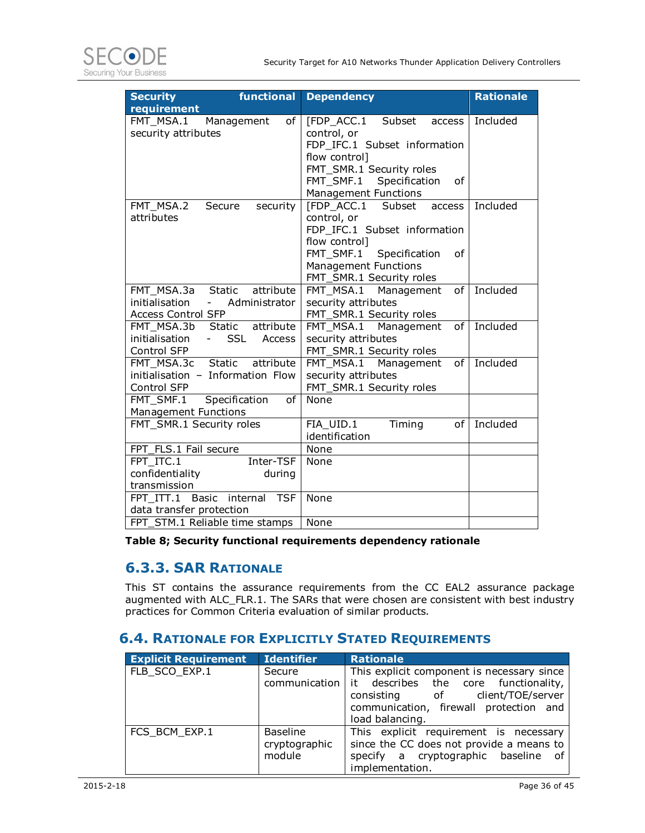

| <b>Security</b>                   | functional                 | <b>Dependency</b>                | <b>Rationale</b> |
|-----------------------------------|----------------------------|----------------------------------|------------------|
| requirement                       |                            |                                  |                  |
| FMT_MSA.1                         | Management<br>of           | [FDP_ACC.1 Subset<br>access      | Included         |
| security attributes               |                            | control, or                      |                  |
|                                   |                            | FDP IFC.1 Subset information     |                  |
|                                   |                            | flow control]                    |                  |
|                                   |                            | FMT_SMR.1 Security roles         |                  |
|                                   |                            | FMT_SMF.1<br>Specification<br>0f |                  |
|                                   |                            | <b>Management Functions</b>      |                  |
| FMT MSA.2                         | Secure<br>security         | [FDP ACC.1<br>Subset<br>access   | Included         |
| attributes                        |                            | control, or                      |                  |
|                                   |                            | FDP IFC.1 Subset information     |                  |
|                                   |                            | flow control]                    |                  |
|                                   |                            | FMT_SMF.1 Specification<br>of    |                  |
|                                   |                            | <b>Management Functions</b>      |                  |
|                                   |                            | FMT_SMR.1 Security roles         |                  |
| FMT MSA.3a                        | attribute<br><b>Static</b> | FMT MSA.1 Management<br>of       | Included         |
| initialisation<br>$\sim$          | Administrator              | security attributes              |                  |
| Access Control SFP                |                            | FMT_SMR.1 Security roles         |                  |
| FMT MSA.3b                        | attribute<br>Static        | FMT_MSA.1 Management<br>0f       | Included         |
| initialisation                    | <b>SSL</b><br>Access       | security attributes              |                  |
| Control SFP                       |                            | FMT_SMR.1 Security roles         |                  |
| FMT_MSA.3c Static                 | attribute                  | FMT MSA.1 Management<br>0f       | Included         |
| initialisation - Information Flow |                            | security attributes              |                  |
| Control SFP                       |                            | FMT_SMR.1 Security roles         |                  |
| FMT SMF.1                         | Specification<br>of        | <b>None</b>                      |                  |
| Management Functions              |                            |                                  |                  |
| FMT_SMR.1 Security roles          |                            | FIA_UID.1<br>Timing<br>of        | Included         |
|                                   |                            | identification                   |                  |
| FPT FLS.1 Fail secure             |                            | None                             |                  |
| FPT ITC.1                         | Inter-TSF                  | None                             |                  |
| confidentiality                   | during                     |                                  |                  |
| transmission                      |                            |                                  |                  |
| FPT ITT.1                         | Basic internal TSF         | None                             |                  |
| data transfer protection          |                            |                                  |                  |
| FPT STM.1 Reliable time stamps    |                            | None                             |                  |

#### **Table 8; Security functional requirements dependency rationale**

### **6.3.3. SAR RATIONALE**

This ST contains the assurance requirements from the CC EAL2 assurance package augmented with ALC\_FLR.1. The SARs that were chosen are consistent with best industry practices for Common Criteria evaluation of similar products.

#### **6.4. RATIONALE FOR EXPLICITLY STATED REQUIREMENTS**

| <b>Explicit Requirement</b> | <b>Identifier</b>                          | <b>Rationale</b>                                                                                                                                                                      |
|-----------------------------|--------------------------------------------|---------------------------------------------------------------------------------------------------------------------------------------------------------------------------------------|
| FLB SCO EXP.1               | Secure<br>communication                    | This explicit component is necessary since<br>it describes the core functionality,<br>client/TOE/server<br>consisting of<br>communication, firewall protection and<br>load balancing. |
| FCS BCM EXP.1               | <b>Baseline</b><br>cryptographic<br>module | This explicit requirement is necessary<br>since the CC does not provide a means to<br>specify a cryptographic baseline of<br>implementation.                                          |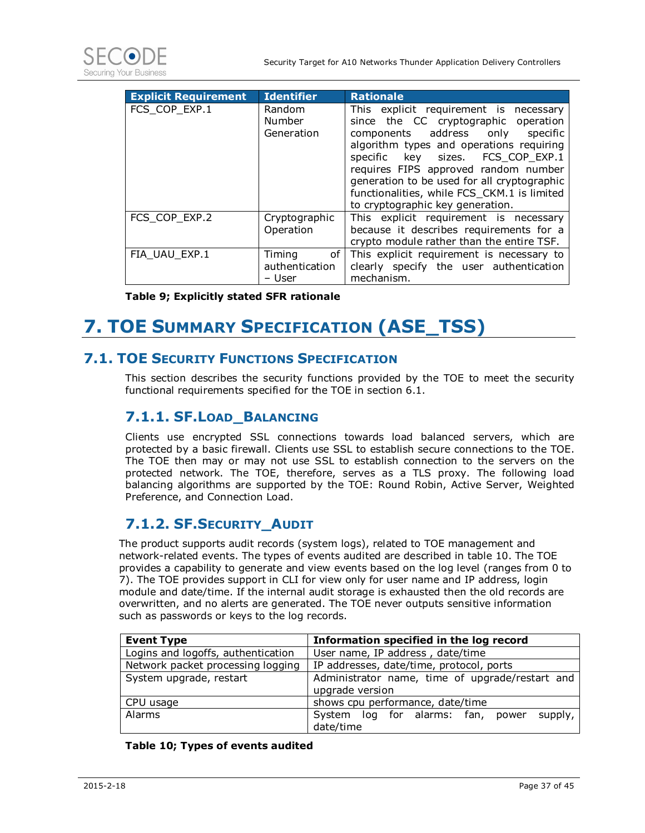



| <b>Explicit Requirement</b> | <b>Identifier</b>                          | <b>Rationale</b>                                                                                                                                                                                                                                                                                                                                                                 |
|-----------------------------|--------------------------------------------|----------------------------------------------------------------------------------------------------------------------------------------------------------------------------------------------------------------------------------------------------------------------------------------------------------------------------------------------------------------------------------|
| FCS_COP_EXP.1               | Random<br><b>Number</b><br>Generation      | This explicit requirement is necessary<br>since the CC cryptographic operation<br>components address only<br>specific<br>algorithm types and operations requiring<br>specific key sizes. FCS_COP EXP.1<br>requires FIPS approved random number<br>generation to be used for all cryptographic<br>functionalities, while FCS CKM.1 is limited<br>to cryptographic key generation. |
| FCS COP EXP.2               | Cryptographic<br>Operation                 | This explicit requirement is necessary<br>because it describes requirements for a<br>crypto module rather than the entire TSF.                                                                                                                                                                                                                                                   |
| FIA UAU EXP.1               | Timing<br>of I<br>authentication<br>– User | This explicit requirement is necessary to<br>clearly specify the user authentication<br>mechanism.                                                                                                                                                                                                                                                                               |

**Table 9; Explicitly stated SFR rationale** 

## **7. TOE SUMMARY SPECIFICATION (ASE\_TSS)**

### **7.1. TOE SECURITY FUNCTIONS SPECIFICATION**

This section describes the security functions provided by the TOE to meet the security functional requirements specified for the TOE in section 6.1.

### **7.1.1. SF.LOAD\_BALANCING**

Clients use encrypted SSL connections towards load balanced servers, which are protected by a basic firewall. Clients use SSL to establish secure connections to the TOE. The TOE then may or may not use SSL to establish connection to the servers on the protected network. The TOE, therefore, serves as a TLS proxy. The following load balancing algorithms are supported by the TOE: Round Robin, Active Server, Weighted Preference, and Connection Load.

### **7.1.2. SF.SECURITY\_AUDIT**

The product supports audit records (system logs), related to TOE management and network-related events. The types of events audited are described in table 10. The TOE provides a capability to generate and view events based on the log level (ranges from 0 to 7). The TOE provides support in CLI for view only for user name and IP address, login module and date/time. If the internal audit storage is exhausted then the old records are overwritten, and no alerts are generated. The TOE never outputs sensitive information such as passwords or keys to the log records.

| <b>Event Type</b>                  | Information specified in the log record         |  |  |  |  |  |  |  |  |  |  |  |
|------------------------------------|-------------------------------------------------|--|--|--|--|--|--|--|--|--|--|--|
| Logins and logoffs, authentication | User name, IP address, date/time                |  |  |  |  |  |  |  |  |  |  |  |
| Network packet processing logging  | IP addresses, date/time, protocol, ports        |  |  |  |  |  |  |  |  |  |  |  |
| System upgrade, restart            | Administrator name, time of upgrade/restart and |  |  |  |  |  |  |  |  |  |  |  |
|                                    | upgrade version                                 |  |  |  |  |  |  |  |  |  |  |  |
| CPU usage                          | shows cpu performance, date/time                |  |  |  |  |  |  |  |  |  |  |  |
| <b>Alarms</b>                      | supply,<br>System log for alarms: fan, power    |  |  |  |  |  |  |  |  |  |  |  |
|                                    | date/time                                       |  |  |  |  |  |  |  |  |  |  |  |

#### **Table 10; Types of events audited**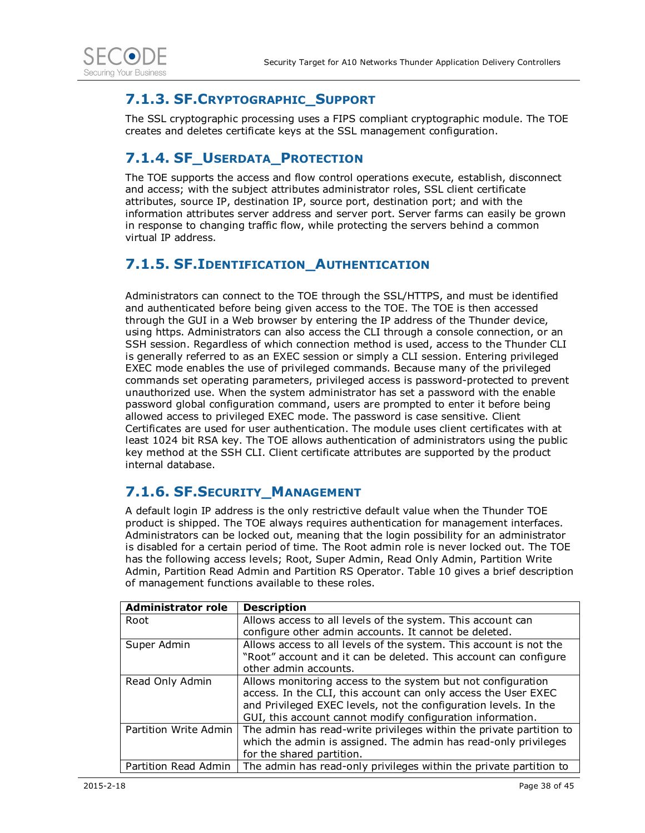

### **7.1.3. SF.CRYPTOGRAPHIC\_SUPPORT**

The SSL cryptographic processing uses a FIPS compliant cryptographic module. The TOE creates and deletes certificate keys at the SSL management configuration.

### **7.1.4. SF\_USERDATA\_PROTECTION**

The TOE supports the access and flow control operations execute, establish, disconnect and access; with the subject attributes administrator roles, SSL client certificate attributes, source IP, destination IP, source port, destination port; and with the information attributes server address and server port. Server farms can easily be grown in response to changing traffic flow, while protecting the servers behind a common virtual IP address.

### **7.1.5. SF.IDENTIFICATION\_AUTHENTICATION**

Administrators can connect to the TOE through the SSL/HTTPS, and must be identified and authenticated before being given access to the TOE. The TOE is then accessed through the GUI in a Web browser by entering the IP address of the Thunder device, using https. Administrators can also access the CLI through a console connection, or an SSH session. Regardless of which connection method is used, access to the Thunder CLI is generally referred to as an EXEC session or simply a CLI session. Entering privileged EXEC mode enables the use of privileged commands. Because many of the privileged commands set operating parameters, privileged access is password-protected to prevent unauthorized use. When the system administrator has set a password with the enable password global configuration command, users are prompted to enter it before being allowed access to privileged EXEC mode. The password is case sensitive. Client Certificates are used for user authentication. The module uses client certificates with at least 1024 bit RSA key. The TOE allows authentication of administrators using the public key method at the SSH CLI. Client certificate attributes are supported by the product internal database.

### **7.1.6. SF.SECURITY\_MANAGEMENT**

A default login IP address is the only restrictive default value when the Thunder TOE product is shipped. The TOE always requires authentication for management interfaces. Administrators can be locked out, meaning that the login possibility for an administrator is disabled for a certain period of time. The Root admin role is never locked out. The TOE has the following access levels; Root, Super Admin, Read Only Admin, Partition Write Admin, Partition Read Admin and Partition RS Operator. Table 10 gives a brief description of management functions available to these roles.

| <b>Administrator role</b> | <b>Description</b>                                                  |
|---------------------------|---------------------------------------------------------------------|
| Root                      | Allows access to all levels of the system. This account can         |
|                           | configure other admin accounts. It cannot be deleted.               |
| Super Admin               | Allows access to all levels of the system. This account is not the  |
|                           | "Root" account and it can be deleted. This account can configure    |
|                           | other admin accounts.                                               |
| Read Only Admin           | Allows monitoring access to the system but not configuration        |
|                           | access. In the CLI, this account can only access the User EXEC      |
|                           | and Privileged EXEC levels, not the configuration levels. In the    |
|                           | GUI, this account cannot modify configuration information.          |
| Partition Write Admin     | The admin has read-write privileges within the private partition to |
|                           | which the admin is assigned. The admin has read-only privileges     |
|                           | for the shared partition.                                           |
| Partition Read Admin      | The admin has read-only privileges within the private partition to  |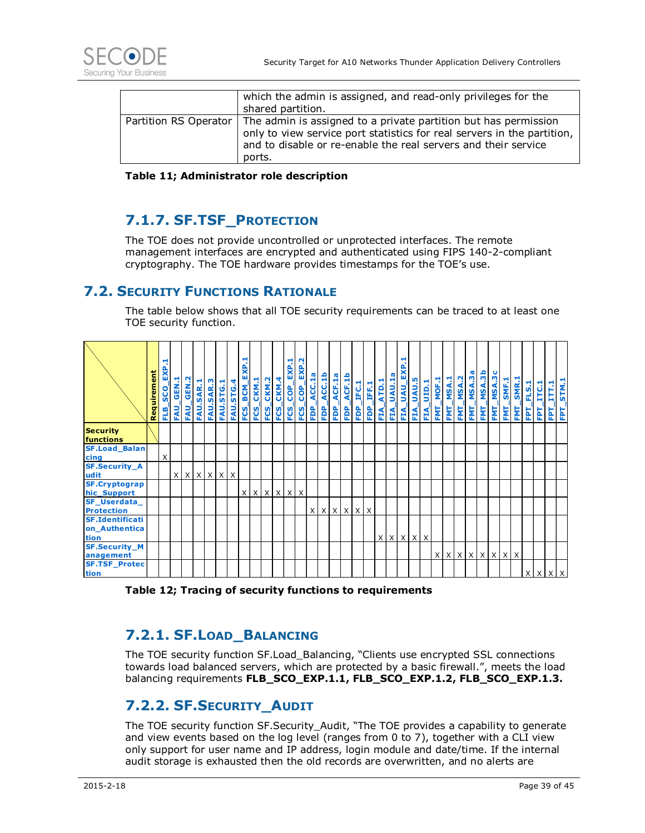| which the admin is assigned, and read-only privileges for the<br>shared partition.                                                                                                                                                             |
|------------------------------------------------------------------------------------------------------------------------------------------------------------------------------------------------------------------------------------------------|
| Partition RS Operator   The admin is assigned to a private partition but has permission<br>only to view service port statistics for real servers in the partition,<br>and to disable or re-enable the real servers and their service<br>ports. |

**Table 11; Administrator role description** 

### **7.1.7. SF.TSF\_PROTECTION**

The TOE does not provide uncontrolled or unprotected interfaces. The remote management interfaces are encrypted and authenticated using FIPS 140-2-compliant cryptography. The TOE hardware provides timestamps for the TOE's use.

#### **7.2. SECURITY FUNCTIONS RATIONALE**

The table below shows that all TOE security requirements can be traced to at least one TOE security function.

|                                                                                                                                                                                                                                                                                                                                                                   | Requirement | EXP.1<br>SCO_<br>믮 | <b>FAU_GEN.1</b> | FAU_GEN.2           | <b>FAU.SAR.1</b> | <b>FAU.SAR.3</b> | <b>FAU.STG.1</b> | <b>FAU.STG.4</b> | ίü<br>FCS_BCM | CKM.1<br>FCS_ | CKM.2<br>ပ္မ | CKM.4<br>FCS_ | EXP.1<br>COP <sub>.</sub><br>FCS | EXP.2<br>$_{\text{COP}}$<br>FCS <sub>-</sub> | FDP_ACC.1a | FDP_ACC.1b<br>FDP_ACF.1a | FDP_ACF.1b      | FDP_IFC.1 | FDP_IFF.1                 | ATD.1<br>EIA, | _UAU.1a<br>EIA. | <b>FIA_UAU_EX</b>               | $\mathbf{F}$ | LUAU.5<br>EÁ, | MOF.1<br>FMT. | FMT <sub>.</sub> | FMT.         | [_MSA.1<br>[_MSA.2<br>[_MSA.3a<br>FMT <sub>.</sub> | MSA.3b<br>FMT. | FMT_MSA.3c   | $-SMF.1$<br>FMT, | $-SMR.1$<br>FMT <sub>.</sub> | FLS.1<br>된 | ITC.1<br>EPT <sub>.</sub> | MT1.1<br>EPT. | STM.1<br>EPT |
|-------------------------------------------------------------------------------------------------------------------------------------------------------------------------------------------------------------------------------------------------------------------------------------------------------------------------------------------------------------------|-------------|--------------------|------------------|---------------------|------------------|------------------|------------------|------------------|---------------|---------------|--------------|---------------|----------------------------------|----------------------------------------------|------------|--------------------------|-----------------|-----------|---------------------------|---------------|-----------------|---------------------------------|--------------|---------------|---------------|------------------|--------------|----------------------------------------------------|----------------|--------------|------------------|------------------------------|------------|---------------------------|---------------|--------------|
| <b>Security</b><br>functions                                                                                                                                                                                                                                                                                                                                      |             |                    |                  |                     |                  |                  |                  |                  |               |               |              |               |                                  |                                              |            |                          |                 |           |                           |               |                 |                                 |              |               |               |                  |              |                                                    |                |              |                  |                              |            |                           |               |              |
| <b>SF.Load Balan</b><br>cing                                                                                                                                                                                                                                                                                                                                      |             | X                  |                  |                     |                  |                  |                  |                  |               |               |              |               |                                  |                                              |            |                          |                 |           |                           |               |                 |                                 |              |               |               |                  |              |                                                    |                |              |                  |                              |            |                           |               |              |
| <b>SF.Security_A</b><br>udit                                                                                                                                                                                                                                                                                                                                      |             |                    |                  | $x$ $x$ $x$ $x$ $x$ |                  |                  |                  |                  |               |               |              |               |                                  |                                              |            |                          |                 |           |                           |               |                 |                                 |              |               |               |                  |              |                                                    |                |              |                  |                              |            |                           |               |              |
| <b>SF.Cryptograp</b><br>hic Support                                                                                                                                                                                                                                                                                                                               |             |                    |                  |                     |                  |                  |                  |                  |               | x x x x x x   |              |               |                                  |                                              |            |                          |                 |           |                           |               |                 |                                 |              |               |               |                  |              |                                                    |                |              |                  |                              |            |                           |               |              |
| SF_Userdata_                                                                                                                                                                                                                                                                                                                                                      |             |                    |                  |                     |                  |                  |                  |                  |               |               |              |               |                                  |                                              |            |                          |                 |           |                           |               |                 |                                 |              |               |               |                  |              |                                                    |                |              |                  |                              |            |                           |               |              |
| <b>Protection</b><br><b>SF.Identificati</b><br>on_Authentica<br>tion                                                                                                                                                                                                                                                                                              |             |                    |                  |                     |                  |                  |                  |                  |               |               |              |               |                                  |                                              | $\times$   |                          | $X$ $X$ $X$ $X$ |           | $\boldsymbol{\mathsf{X}}$ |               |                 | $x \mid x \mid x \mid x \mid x$ |              |               |               |                  |              |                                                    |                |              |                  |                              |            |                           |               |              |
| <b>SF.Security_M</b><br>anagement                                                                                                                                                                                                                                                                                                                                 |             |                    |                  |                     |                  |                  |                  |                  |               |               |              |               |                                  |                                              |            |                          |                 |           |                           |               |                 |                                 |              |               | X             | X                | $\mathsf{x}$ | $\times$                                           | $\mathsf{X}$   | $\mathsf{X}$ | $\mathsf{X}$     | $\times$                     |            |                           |               |              |
| <b>SF.TSF Protec</b><br>tion                                                                                                                                                                                                                                                                                                                                      |             |                    |                  |                     |                  |                  |                  |                  |               |               |              |               |                                  |                                              |            |                          |                 |           |                           |               |                 |                                 |              |               |               |                  |              |                                                    |                |              |                  |                              |            |                           |               |              |
| Table 12; Tracing of security functions to requirements<br>7.2.1. SF. LOAD_BALANCING<br>The TOE security function SF.Load_Balancing, "Clients use encrypted SSL connections<br>towards load balanced servers, which are protected by a basic firewall.", meets the load                                                                                           |             |                    |                  |                     |                  |                  |                  |                  |               |               |              |               |                                  |                                              |            |                          |                 |           |                           |               |                 |                                 |              |               |               |                  |              |                                                    |                |              |                  |                              |            |                           |               |              |
| balancing requirements FLB_SCO_EXP.1.1, FLB_SCO_EXP.1.2, FLB_SCO_EXP.1.3.<br>7.2.2. SF.SECURITY_AUDIT                                                                                                                                                                                                                                                             |             |                    |                  |                     |                  |                  |                  |                  |               |               |              |               |                                  |                                              |            |                          |                 |           |                           |               |                 |                                 |              |               |               |                  |              |                                                    |                |              |                  |                              |            |                           |               |              |
| The TOE security function SF. Security Audit, "The TOE provides a capability to generate<br>and view events based on the log level (ranges from 0 to 7), together with a CLI view<br>only support for user name and IP address, login module and date/time. If the internal<br>audit storage is exhausted then the old records are overwritten, and no alerts are |             |                    |                  |                     |                  |                  |                  |                  |               |               |              |               |                                  |                                              |            |                          |                 |           |                           |               |                 |                                 |              |               |               |                  |              |                                                    |                |              |                  |                              |            |                           |               |              |

**Table 12; Tracing of security functions to requirements** 

### **7.2.1. SF.LOAD\_BALANCING**

### **7.2.2. SF.SECURITY\_AUDIT**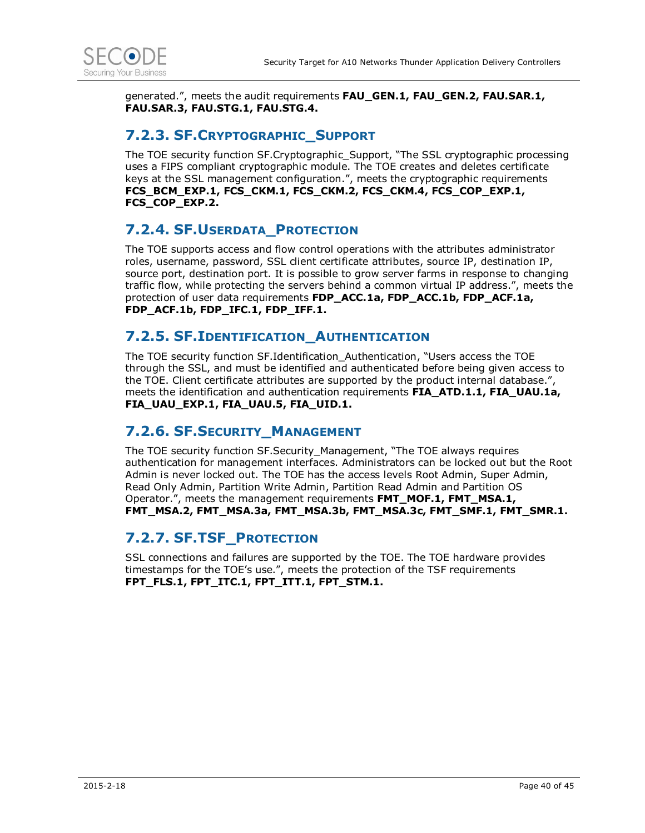

generated.", meets the audit requirements **FAU\_GEN.1, FAU\_GEN.2, FAU.SAR.1, FAU.SAR.3, FAU.STG.1, FAU.STG.4.** 

#### **7.2.3. SF.CRYPTOGRAPHIC\_SUPPORT**

The TOE security function SF.Cryptographic\_Support, "The SSL cryptographic processing uses a FIPS compliant cryptographic module. The TOE creates and deletes certificate keys at the SSL management configuration.", meets the cryptographic requirements **FCS\_BCM\_EXP.1, FCS\_CKM.1, FCS\_CKM.2, FCS\_CKM.4, FCS\_COP\_EXP.1, FCS\_COP\_EXP.2.** 

### **7.2.4. SF.USERDATA\_PROTECTION**

The TOE supports access and flow control operations with the attributes administrator roles, username, password, SSL client certificate attributes, source IP, destination IP, source port, destination port. It is possible to grow server farms in response to changing traffic flow, while protecting the servers behind a common virtual IP address.", meets the protection of user data requirements **FDP\_ACC.1a, FDP\_ACC.1b, FDP\_ACF.1a, FDP\_ACF.1b, FDP\_IFC.1, FDP\_IFF.1.** 

#### **7.2.5. SF.IDENTIFICATION\_AUTHENTICATION**

The TOE security function SF.Identification\_Authentication, "Users access the TOE through the SSL, and must be identified and authenticated before being given access to the TOE. Client certificate attributes are supported by the product internal database.", meets the identification and authentication requirements **FIA\_ATD.1.1, FIA\_UAU.1a, FIA\_UAU\_EXP.1, FIA\_UAU.5, FIA\_UID.1.** 

### **7.2.6. SF.SECURITY\_MANAGEMENT**

The TOE security function SF.Security\_Management, "The TOE always requires authentication for management interfaces. Administrators can be locked out but the Root Admin is never locked out. The TOE has the access levels Root Admin, Super Admin, Read Only Admin, Partition Write Admin, Partition Read Admin and Partition OS Operator.", meets the management requirements **FMT\_MOF.1, FMT\_MSA.1, FMT\_MSA.2, FMT\_MSA.3a, FMT\_MSA.3b, FMT\_MSA.3c, FMT\_SMF.1, FMT\_SMR.1.** 

#### **7.2.7. SF.TSF\_PROTECTION**

SSL connections and failures are supported by the TOE. The TOE hardware provides timestamps for the TOE's use.", meets the protection of the TSF requirements **FPT\_FLS.1, FPT\_ITC.1, FPT\_ITT.1, FPT\_STM.1.**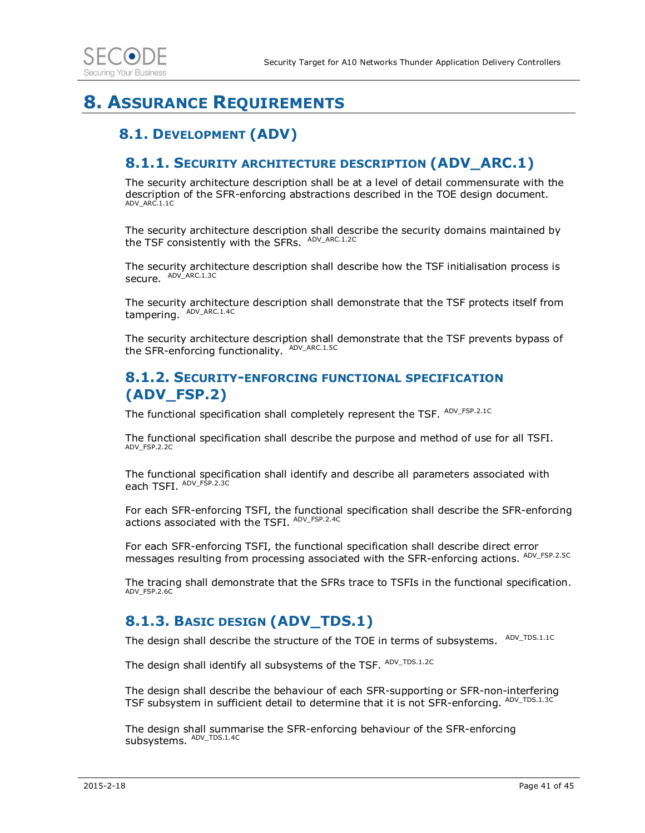## **8. ASSURANCE REQUIREMENTS**

### **8.1. DEVELOPMENT (ADV)**

#### **8.1.1. SECURITY ARCHITECTURE DESCRIPTION (ADV\_ARC.1)**

The security architecture description shall be at a level of detail commensurate with the description of the SFR-enforcing abstractions described in the TOE design document. ADV\_ARC.1.1C

The security architecture description shall describe the security domains maintained by the TSF consistently with the SFRs. ADV\_ARC.1.2C

The security architecture description shall describe how the TSF initialisation process is secure. ADV\_ARC.1.3C

The security architecture description shall demonstrate that the TSF protects itself from tampering. ADV\_ARC.1.4C

The security architecture description shall demonstrate that the TSF prevents bypass of the SFR-enforcing functionality. ADV\_ARC.1.5C

#### **8.1.2. SECURITY-ENFORCING FUNCTIONAL SPECIFICATION (ADV\_FSP.2)**

The functional specification shall completely represent the TSF. ADV\_FSP.2.1C

The functional specification shall describe the purpose and method of use for all TSFI. ADV\_FSP.2.2C

The functional specification shall identify and describe all parameters associated with each TSFI. ADV\_FSP.2.3C

For each SFR-enforcing TSFI, the functional specification shall describe the SFR-enforcing actions associated with the TSFI. ADV\_FSP.2.4C

For each SFR-enforcing TSFI, the functional specification shall describe direct error messages resulting from processing associated with the SFR-enforcing actions. ADV\_FSP.2.5C

The tracing shall demonstrate that the SFRs trace to TSFIs in the functional specification. ADV\_FSP.2.6C

### **8.1.3. BASIC DESIGN (ADV\_TDS.1)**

The design shall describe the structure of the TOE in terms of subsystems. <sup>ADV\_TDS.1.1C</sup>

The design shall identify all subsystems of the TSF. ADV\_TDS.1.2C

The design shall describe the behaviour of each SFR-supporting or SFR-non-interfering TSF subsystem in sufficient detail to determine that it is not SFR-enforcing. ADV\_TDS.1.3C

The design shall summarise the SFR-enforcing behaviour of the SFR-enforcing subsystems. ADV\_TDS.1.4C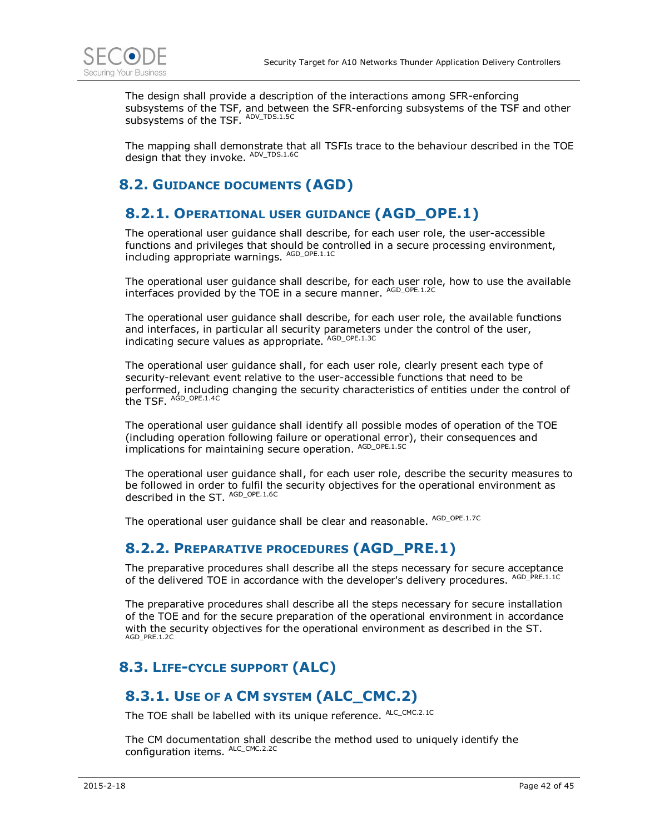

The design shall provide a description of the interactions among SFR-enforcing subsystems of the TSF, and between the SFR-enforcing subsystems of the TSF and other subsystems of the TSF. ADV\_TDS.1.5C

The mapping shall demonstrate that all TSFIs trace to the behaviour described in the TOE design that they invoke. ADV\_TDS.1.6C

### **8.2. GUIDANCE DOCUMENTS (AGD)**

### **8.2.1. OPERATIONAL USER GUIDANCE (AGD\_OPE.1)**

The operational user guidance shall describe, for each user role, the user-accessible functions and privileges that should be controlled in a secure processing environment, including appropriate warnings. AGD\_OPE.1.1C

The operational user guidance shall describe, for each user role, how to use the available interfaces provided by the TOE in a secure manner. AGD\_OPE.1.2C

The operational user guidance shall describe, for each user role, the available functions and interfaces, in particular all security parameters under the control of the user, indicating secure values as appropriate. AGD\_OPE.1.3C

The operational user guidance shall, for each user role, clearly present each type of security-relevant event relative to the user-accessible functions that need to be performed, including changing the security characteristics of entities under the control of the TSF. <sup>AGD\_OPE.1.4C</sup>

The operational user guidance shall identify all possible modes of operation of the TOE (including operation following failure or operational error), their consequences and implications for maintaining secure operation. AGD\_OPE.1.5C

The operational user guidance shall, for each user role, describe the security measures to be followed in order to fulfil the security objectives for the operational environment as described in the ST. AGD\_OPE.1.6C

The operational user guidance shall be clear and reasonable. AGD\_OPE.1.7C

### **8.2.2. PREPARATIVE PROCEDURES (AGD\_PRE.1)**

The preparative procedures shall describe all the steps necessary for secure acceptance of the delivered TOE in accordance with the developer's delivery procedures. AGD\_PRE.1.1C

The preparative procedures shall describe all the steps necessary for secure installation of the TOE and for the secure preparation of the operational environment in accordance with the security objectives for the operational environment as described in the ST. AGD\_PRE.1.2C

### **8.3. LIFE-CYCLE SUPPORT (ALC)**

### **8.3.1. USE OF A CM SYSTEM (ALC\_CMC.2)**

The TOE shall be labelled with its unique reference. ALC\_CMC.2.1C

The CM documentation shall describe the method used to uniquely identify the configuration items. ALC\_CMC.2.2C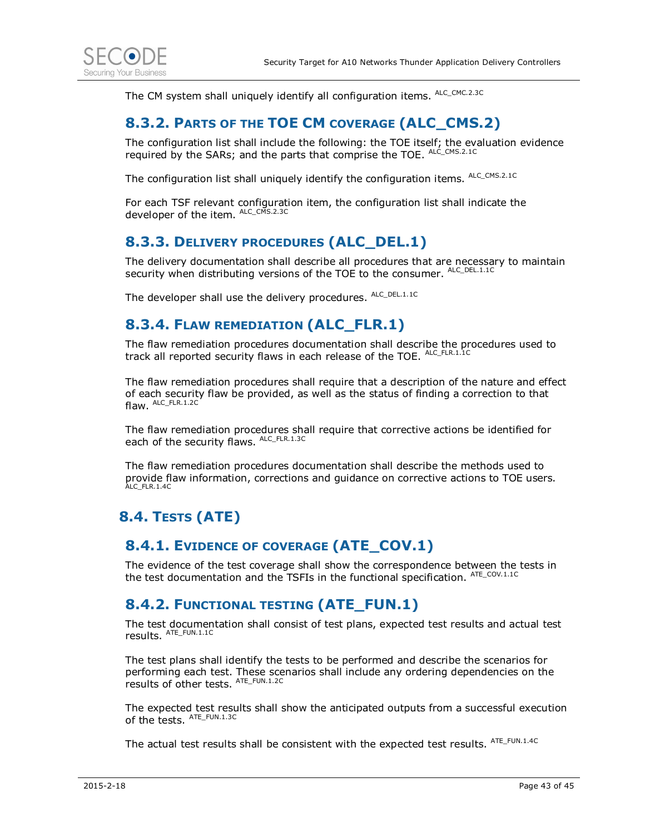

The CM system shall uniquely identify all configuration items. ALC\_CMC.2.3C

### **8.3.2. PARTS OF THE TOE CM COVERAGE (ALC\_CMS.2)**

The configuration list shall include the following: the TOE itself; the evaluation evidence required by the SARs; and the parts that comprise the TOE. ALC\_CMS.2.1C

The configuration list shall uniquely identify the configuration items. ALC\_CMS.2.1C

For each TSF relevant configuration item, the configuration list shall indicate the developer of the item. ALC\_CMS.2.3C

### **8.3.3. DELIVERY PROCEDURES (ALC\_DEL.1)**

The delivery documentation shall describe all procedures that are necessary to maintain security when distributing versions of the TOE to the consumer. ALC\_DEL.1.1C

The developer shall use the delivery procedures. ALC\_DEL.1.1C

### **8.3.4. FLAW REMEDIATION (ALC\_FLR.1)**

The flaw remediation procedures documentation shall describe the procedures used to track all reported security flaws in each release of the TOE. ALC\_FLR.1.1C

The flaw remediation procedures shall require that a description of the nature and effect of each security flaw be provided, as well as the status of finding a correction to that flaw. ALC\_FLR.1.2C

The flaw remediation procedures shall require that corrective actions be identified for each of the security flaws. ALC\_FLR.1.3C

The flaw remediation procedures documentation shall describe the methods used to provide flaw information, corrections and guidance on corrective actions to TOE users. ALC\_FLR.1.4C

### **8.4. TESTS (ATE)**

### **8.4.1. EVIDENCE OF COVERAGE (ATE\_COV.1)**

The evidence of the test coverage shall show the correspondence between the tests in the test documentation and the TSFIs in the functional specification. ATE\_COV.1.1C

### **8.4.2. FUNCTIONAL TESTING (ATE\_FUN.1)**

The test documentation shall consist of test plans, expected test results and actual test results. ATE\_FUN.1.1C

The test plans shall identify the tests to be performed and describe the scenarios for performing each test. These scenarios shall include any ordering dependencies on the results of other tests. ATE\_FUN.1.2C

The expected test results shall show the anticipated outputs from a successful execution of the tests.  $^{\text{ATE\_FUN}.1.3\text{C}}$ 

The actual test results shall be consistent with the expected test results. ATE\_FUN.1.4C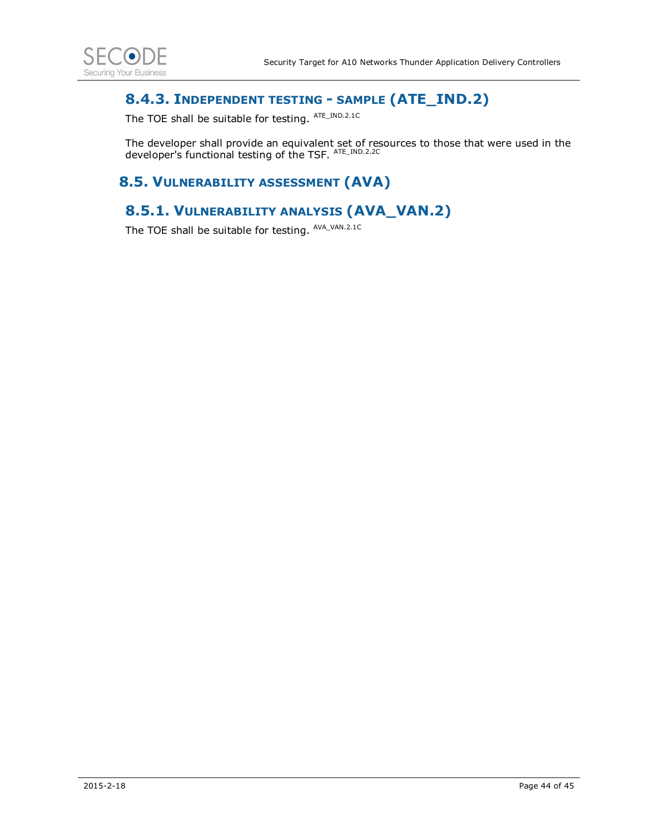

### **8.4.3. INDEPENDENT TESTING - SAMPLE (ATE\_IND.2)**

The TOE shall be suitable for testing. ATE\_IND.2.1C

The developer shall provide an equivalent set of resources to those that were used in the developer's functional testing of the TSF. ATE\_IND.2.2C

### **8.5. VULNERABILITY ASSESSMENT (AVA)**

### **8.5.1. VULNERABILITY ANALYSIS (AVA\_VAN.2)**

The TOE shall be suitable for testing. AVA\_VAN.2.1C